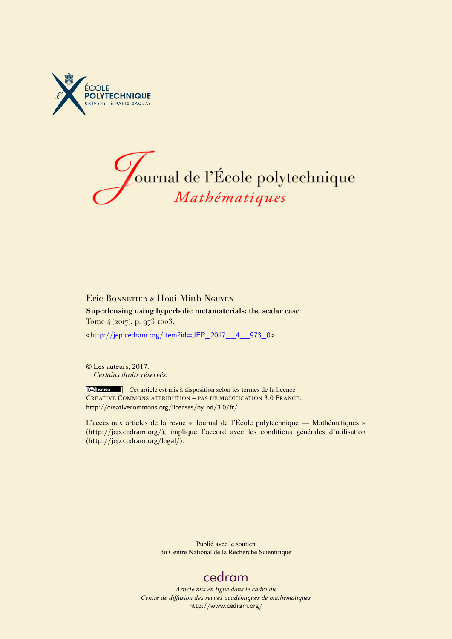



Eric BONNETIER & HOai-Minh NGUYEN **Superlensing using hyperbolic metamaterials: the scalar case** Tome 4 (2017), p. 973-1003.

<[http://jep.cedram.org/item?id=JEP\\_2017\\_\\_4\\_\\_973\\_0](http://jep.cedram.org/item?id=JEP_2017__4__973_0)>

© Les auteurs, 2017. *Certains droits réservés.*

Cet article est mis à disposition selon les termes de la licence CREATIVE COMMONS ATTRIBUTION – PAS DE MODIFICATION 3.0 FRANCE. <http://creativecommons.org/licenses/by-nd/3.0/fr/>

L'accès aux articles de la revue « Journal de l'École polytechnique — Mathématiques » (<http://jep.cedram.org/>), implique l'accord avec les conditions générales d'utilisation (<http://jep.cedram.org/legal/>).

> Publié avec le soutien du Centre National de la Recherche Scientifique

# [cedram](http://www.cedram.org/)

*Article mis en ligne dans le cadre du Centre de diffusion des revues académiques de mathématiques* <http://www.cedram.org/>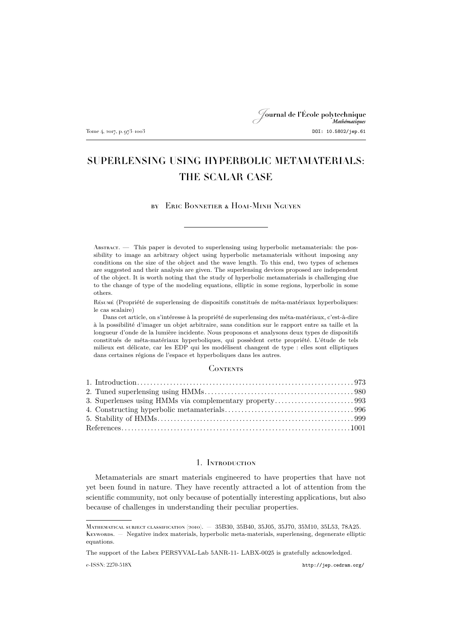# Journal de l'École polytechnique Tome 4, 2017, p. 973–1003 DOI: 10.5802/jep.61

# SUPERLENSING USING HYPERBOLIC METAMATERIALS: THE SCALAR CASE

### by Eric Bonnetier & Hoai-Minh Nguyen

Abstract. — This paper is devoted to superlensing using hyperbolic metamaterials: the possibility to image an arbitrary object using hyperbolic metamaterials without imposing any conditions on the size of the object and the wave length. To this end, two types of schemes are suggested and their analysis are given. The superlensing devices proposed are independent of the object. It is worth noting that the study of hyperbolic metamaterials is challenging due to the change of type of the modeling equations, elliptic in some regions, hyperbolic in some others.

Résumé (Propriété de superlensing de dispositifs constitués de méta-matériaux hyperboliques: le cas scalaire)

Dans cet article, on s'intéresse à la propriété de superlensing des méta-matériaux, c'est-à-dire à la possibilité d'imager un objet arbitraire, sans condition sur le rapport entre sa taille et la longueur d'onde de la lumière incidente. Nous proposons et analysons deux types de dispositifs constitués de méta-matériaux hyperboliques, qui possèdent cette propriété. L'étude de tels milieux est délicate, car les EDP qui les modélisent changent de type : elles sont elliptiques dans certaines régions de l'espace et hyperboliques dans les autres.

#### **CONTENTS**

### 1. Introduction

<span id="page-1-0"></span>Metamaterials are smart materials engineered to have properties that have not yet been found in nature. They have recently attracted a lot of attention from the scientific community, not only because of potentially interesting applications, but also because of challenges in understanding their peculiar properties.

e-ISSN: 2270-518X <http://jep.cedram.org/>

Mathematical subject classification (2010). — 35B30, 35B40, 35J05, 35J70, 35M10, 35L53, 78A25. Keywords. — Negative index materials, hyperbolic meta-materials, superlensing, degenerate elliptic equations.

The support of the Labex PERSYVAL-Lab 5ANR-11- LABX-0025 is gratefully acknowledged.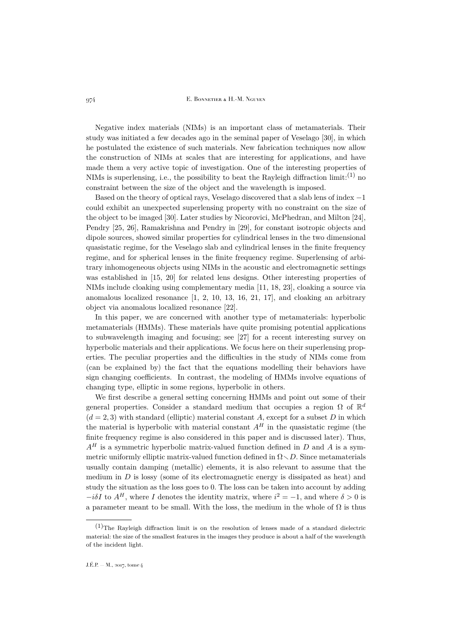Negative index materials (NIMs) is an important class of metamaterials. Their study was initiated a few decades ago in the seminal paper of Veselago [\[30\]](#page-30-0), in which he postulated the existence of such materials. New fabrication techniques now allow the construction of NIMs at scales that are interesting for applications, and have made them a very active topic of investigation. One of the interesting properties of NIMs is superlensing, i.e., the possibility to beat the Rayleigh diffraction  $\text{limit:}^{(1)}$  no constraint between the size of the object and the wavelength is imposed.

Based on the theory of optical rays, Veselago discovered that a slab lens of index −1 could exhibit an unexpected superlensing property with no constraint on the size of the object to be imaged [\[30\]](#page-30-0). Later studies by Nicorovici, McPhedran, and Milton [\[24\]](#page-30-1), Pendry [\[25,](#page-30-2) [26\]](#page-30-3), Ramakrishna and Pendry in [\[29\]](#page-30-4), for constant isotropic objects and dipole sources, showed similar properties for cylindrical lenses in the two dimensional quasistatic regime, for the Veselago slab and cylindrical lenses in the finite frequency regime, and for spherical lenses in the finite frequency regime. Superlensing of arbitrary inhomogeneous objects using NIMs in the acoustic and electromagnetic settings was established in [\[15,](#page-30-5) [20\]](#page-30-6) for related lens designs. Other interesting properties of NIMs include cloaking using complementary media [\[11,](#page-30-7) [18,](#page-30-8) [23\]](#page-30-9), cloaking a source via anomalous localized resonance [\[1,](#page-29-1) [2,](#page-29-2) [10,](#page-30-10) [13,](#page-30-11) [16,](#page-30-12) [21,](#page-30-13) [17\]](#page-30-14), and cloaking an arbitrary object via anomalous localized resonance [\[22\]](#page-30-15).

In this paper, we are concerned with another type of metamaterials: hyperbolic metamaterials (HMMs). These materials have quite promising potential applications to subwavelength imaging and focusing; see [\[27\]](#page-30-16) for a recent interesting survey on hyperbolic materials and their applications. We focus here on their superlensing properties. The peculiar properties and the difficulties in the study of NIMs come from (can be explained by) the fact that the equations modelling their behaviors have sign changing coefficients. In contrast, the modeling of HMMs involve equations of changing type, elliptic in some regions, hyperbolic in others.

We first describe a general setting concerning HMMs and point out some of their general properties. Consider a standard medium that occupies a region  $\Omega$  of  $\mathbb{R}^d$  $(d = 2, 3)$  with standard (elliptic) material constant A, except for a subset D in which the material is hyperbolic with material constant  $A<sup>H</sup>$  in the quasistatic regime (the finite frequency regime is also considered in this paper and is discussed later). Thus,  $A<sup>H</sup>$  is a symmetric hyperbolic matrix-valued function defined in D and A is a symmetric uniformly elliptic matrix-valued function defined in  $\Omega \setminus D$ . Since metamaterials usually contain damping (metallic) elements, it is also relevant to assume that the medium in  $D$  is lossy (some of its electromagnetic energy is dissipated as heat) and study the situation as the loss goes to 0. The loss can be taken into account by adding  $-i\delta I$  to  $A^H$ , where I denotes the identity matrix, where  $i^2 = -1$ , and where  $\delta > 0$  is a parameter meant to be small. With the loss, the medium in the whole of  $\Omega$  is thus

 $(1)$ The Rayleigh diffraction limit is on the resolution of lenses made of a standard dielectric material: the size of the smallest features in the images they produce is about a half of the wavelength of the incident light.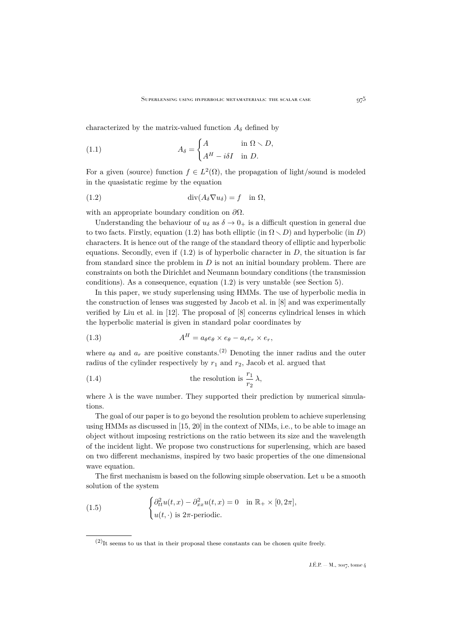characterized by the matrix-valued function  $A_{\delta}$  defined by

(1.1) 
$$
A_{\delta} = \begin{cases} A & \text{in } \Omega \setminus D, \\ A^H - i\delta I & \text{in } D. \end{cases}
$$

For a given (source) function  $f \in L^2(\Omega)$ , the propagation of light/sound is modeled in the quasistatic regime by the equation

<span id="page-3-0"></span>(1.2) 
$$
\operatorname{div}(A_{\delta} \nabla u_{\delta}) = f \quad \text{in } \Omega,
$$

with an appropriate boundary condition on  $\partial\Omega$ .

Understanding the behaviour of  $u_{\delta}$  as  $\delta \rightarrow 0_{+}$  is a difficult question in general due to two facts. Firstly, equation [\(1.2\)](#page-3-0) has both elliptic (in  $\Omega \setminus D$ ) and hyperbolic (in D) characters. It is hence out of the range of the standard theory of elliptic and hyperbolic equations. Secondly, even if  $(1.2)$  is of hyperbolic character in D, the situation is far from standard since the problem in  $D$  is not an initial boundary problem. There are constraints on both the Dirichlet and Neumann boundary conditions (the transmission conditions). As a consequence, equation [\(1.2\)](#page-3-0) is very unstable (see Section [5\)](#page-27-0).

In this paper, we study superlensing using HMMs. The use of hyperbolic media in the construction of lenses was suggested by Jacob et al. in [\[8\]](#page-30-17) and was experimentally verified by Liu et al. in [\[12\]](#page-30-18). The proposal of [\[8\]](#page-30-17) concerns cylindrical lenses in which the hyperbolic material is given in standard polar coordinates by

(1.3) 
$$
A^H = a_{\theta}e_{\theta} \times e_{\theta} - a_r e_r \times e_r,
$$

where  $a_{\theta}$  and  $a_r$  are positive constants.<sup>(2)</sup> Denoting the inner radius and the outer radius of the cylinder respectively by  $r_1$  and  $r_2$ , Jacob et al. argued that

(1.4) the resolution is 
$$
\frac{r_1}{r_2} \lambda
$$
,

where  $\lambda$  is the wave number. They supported their prediction by numerical simulations.

The goal of our paper is to go beyond the resolution problem to achieve superlensing using HMMs as discussed in [\[15,](#page-30-5) [20\]](#page-30-6) in the context of NIMs, i.e., to be able to image an object without imposing restrictions on the ratio between its size and the wavelength of the incident light. We propose two constructions for superlensing, which are based on two different mechanisms, inspired by two basic properties of the one dimensional wave equation.

The first mechanism is based on the following simple observation. Let  $u$  be a smooth solution of the system

<span id="page-3-1"></span>(1.5) 
$$
\begin{cases} \partial_{tt}^2 u(t,x) - \partial_{xx}^2 u(t,x) = 0 & \text{in } \mathbb{R}_+ \times [0,2\pi], \\ u(t,\cdot) & \text{is } 2\pi\text{-periodic.} \end{cases}
$$

 $(2)$ It seems to us that in their proposal these constants can be chosen quite freely.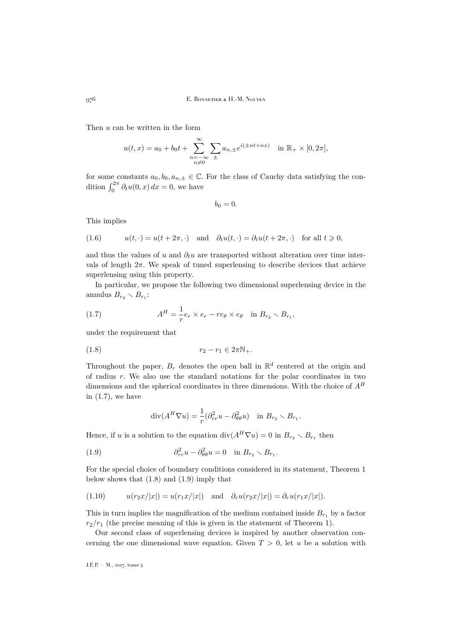Then u can be written in the form

$$
u(t,x) = a_0 + b_0 t + \sum_{\substack{n=-\infty\\n\neq 0}}^{\infty} \sum_{\pm} a_{n,\pm} e^{i(\pm nt + nx)} \quad \text{in } \mathbb{R}_+ \times [0, 2\pi],
$$

for some constants  $a_0, b_0, a_{n,\pm} \in \mathbb{C}$ . For the class of Cauchy data satisfying the condition  $\int_0^{2\pi} \partial_t u(0, x) dx = 0$ , we have

 $b_0 = 0.$ 

This implies

(1.6) 
$$
u(t, \cdot) = u(t + 2\pi, \cdot) \quad \text{and} \quad \partial_t u(t, \cdot) = \partial_t u(t + 2\pi, \cdot) \quad \text{for all } t \geq 0,
$$

and thus the values of u and  $\partial_t u$  are transported without alteration over time intervals of length  $2\pi$ . We speak of tuned superlensing to describe devices that achieve superlensing using this property.

In particular, we propose the following two dimensional superlensing device in the annulus  $B_{r_2} \setminus B_{r_1}$ :

<span id="page-4-0"></span>(1.7) 
$$
A^H = \frac{1}{r} e_r \times e_r - r e_\theta \times e_\theta \quad \text{in } B_{r_2} \setminus B_{r_1},
$$

under the requirement that

$$
(1.8) \t\t\t\t r_2 - r_1 \in 2\pi\mathbb{N}_+.
$$

Throughout the paper,  $B_r$  denotes the open ball in  $\mathbb{R}^d$  centered at the origin and of radius  $r$ . We also use the standard notations for the polar coordinates in two dimensions and the spherical coordinates in three dimensions. With the choice of  $A<sup>H</sup>$ in  $(1.7)$ , we have

<span id="page-4-2"></span><span id="page-4-1"></span>
$$
\operatorname{div}(A^H \nabla u) = \frac{1}{r} (\partial_{rr}^2 u - \partial_{\theta\theta}^2 u) \quad \text{in } B_{r_2} \setminus B_{r_1}.
$$

Hence, if u is a solution to the equation  $\text{div}(A^H \nabla u) = 0$  in  $B_{r_2} \setminus B_{r_1}$  then

(1.9) 
$$
\partial_{rr}^2 u - \partial_{\theta\theta}^2 u = 0 \quad \text{in } B_{r_2} \setminus B_{r_1}.
$$

For the special choice of boundary conditions considered in its statement, Theorem [1](#page-7-0) below shows that  $(1.8)$  and  $(1.9)$  imply that

$$
(1.10) \t u(r_2x/|x|) = u(r_1x/|x|) \text{ and } \partial_r u(r_2x/|x|) = \partial_r u(r_1x/|x|).
$$

This in turn implies the magnification of the medium contained inside  $B_{r_1}$  by a factor  $r_2/r_1$  (the precise meaning of this is given in the statement of Theorem [1\)](#page-7-0).

Our second class of superlensing devices is inspired by another observation concerning the one dimensional wave equation. Given  $T > 0$ , let u be a solution with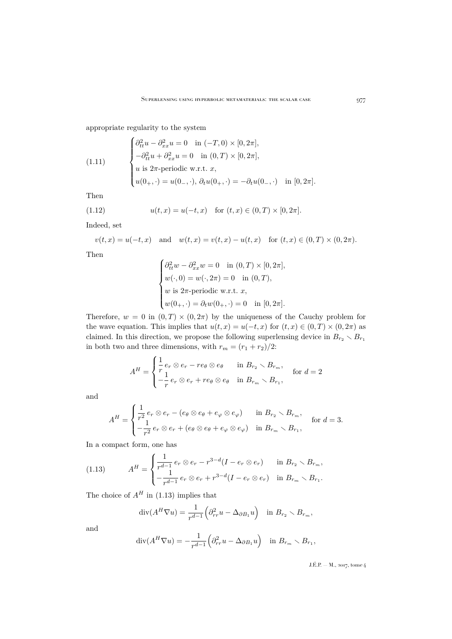appropriate regularity to the system

(1.11) 
$$
\begin{cases} \partial_{tt}^{2}u - \partial_{xx}^{2}u = 0 & \text{in } (-T,0) \times [0,2\pi], \\ -\partial_{tt}^{2}u + \partial_{xx}^{2}u = 0 & \text{in } (0,T) \times [0,2\pi], \\ u \text{ is } 2\pi\text{-periodic w.r.t. } x, \\ u(0_{+},\cdot) = u(0_{-},\cdot), \ \partial_{t}u(0_{+},\cdot) = -\partial_{t}u(0_{-},\cdot) & \text{in } [0,2\pi]. \end{cases}
$$

Then

(1.12) 
$$
u(t,x) = u(-t,x) \text{ for } (t,x) \in (0,T) \times [0,2\pi].
$$

Indeed, set

$$
v(t, x) = u(-t, x)
$$
 and  $w(t, x) = v(t, x) - u(t, x)$  for  $(t, x) \in (0, T) \times (0, 2\pi)$ .

Then

<span id="page-5-1"></span>
$$
\begin{cases}\n\partial_{tt}^2 w - \partial_{xx}^2 w = 0 & \text{in } (0, T) \times [0, 2\pi], \\
w(\cdot, 0) = w(\cdot, 2\pi) = 0 & \text{in } (0, T), \\
w \text{ is } 2\pi\text{-periodic w.r.t. } x, \\
w(0_+,\cdot) = \partial_t w(0_+,\cdot) = 0 & \text{in } [0, 2\pi].\n\end{cases}
$$

Therefore,  $w = 0$  in  $(0, T) \times (0, 2\pi)$  by the uniqueness of the Cauchy problem for the wave equation. This implies that  $u(t, x) = u(-t, x)$  for  $(t, x) \in (0, T) \times (0, 2\pi)$  as claimed. In this direction, we propose the following superlensing device in  $B_{r_2} \setminus B_{r_1}$ in both two and three dimensions, with  $r_m = (r_1 + r_2)/2\mathrm{:}$ 

$$
A^H = \begin{cases} \frac{1}{r} e_r \otimes e_r - r e_\theta \otimes e_\theta & \text{in } B_{r_2} \setminus B_{r_m}, \\ -\frac{1}{r} e_r \otimes e_r + r e_\theta \otimes e_\theta & \text{in } B_{r_m} \setminus B_{r_1}, \end{cases} \quad \text{for } d = 2
$$

and

$$
A^H = \begin{cases} \frac{1}{r^2} e_r \otimes e_r - (e_\theta \otimes e_\theta + e_\varphi \otimes e_\varphi) & \text{in } B_{r_2} \setminus B_{r_m}, \\ -\frac{1}{r^2} e_r \otimes e_r + (e_\theta \otimes e_\theta + e_\varphi \otimes e_\varphi) & \text{in } B_{r_m} \setminus B_{r_1}, \end{cases} \text{ for } d = 3.
$$

In a compact form, one has

<span id="page-5-0"></span>(1.13) 
$$
A^{H} = \begin{cases} \frac{1}{r^{d-1}} e_r \otimes e_r - r^{3-d} (I - e_r \otimes e_r) & \text{in } B_{r_2} \setminus B_{r_m}, \\ -\frac{1}{r^{d-1}} e_r \otimes e_r + r^{3-d} (I - e_r \otimes e_r) & \text{in } B_{r_m} \setminus B_{r_1}. \end{cases}
$$

The choice of  $A^H$  in [\(1.13\)](#page-5-0) implies that

$$
\operatorname{div}(A^H \nabla u) = \frac{1}{r^{d-1}} \Big( \partial_{rr}^2 u - \Delta_{\partial B_1} u \Big) \quad \text{in } B_{r_2} \setminus B_{r_m},
$$

and

$$
\operatorname{div}(A^H \nabla u) = -\frac{1}{r^{d-1}} \Big( \partial_{rr}^2 u - \Delta_{\partial B_1} u \Big) \quad \text{in } B_{r_m} \setminus B_{r_1},
$$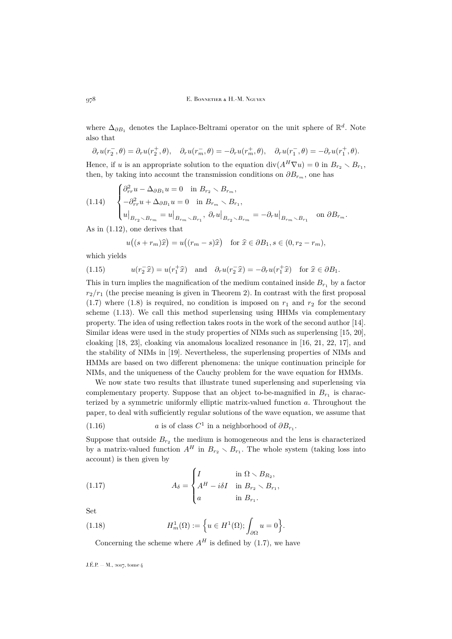where  $\Delta_{\partial B_1}$  denotes the Laplace-Beltrami operator on the unit sphere of  $\mathbb{R}^d$ . Note also that

$$
\partial_r u(r_2^-,\theta)=\partial_r u(r_2^+,\theta),\quad \partial_r u(r_m^-,\theta)=-\partial_r u(r_m^+,\theta),\quad \partial_r u(r_1^-,\theta)=-\partial_r u(r_1^+,\theta).
$$

Hence, if u is an appropriate solution to the equation  $\text{div}(A^H \nabla u) = 0$  in  $B_{r_2} \setminus B_{r_1}$ , then, by taking into account the transmission conditions on  $\partial B_{r_m}$ , one has

(1.14) 
$$
\begin{cases} \partial_{rr}^2 u - \Delta_{\partial B_1} u = 0 & \text{in } B_{r_2} \setminus B_{r_m}, \\ -\partial_{rr}^2 u + \Delta_{\partial B_1} u = 0 & \text{in } B_{r_m} \setminus B_{r_1}, \\ u|_{B_{r_2} \setminus B_{r_m}} = u|_{B_{r_m} \setminus B_{r_1}}, \ \partial_r u|_{B_{r_2} \setminus B_{r_m}} = -\partial_r u|_{B_{r_m} \setminus B_{r_1}} & \text{on } \partial B_{r_m}. \end{cases}
$$

As in [\(1.12\)](#page-5-1), one derives that

$$
u((s+r_m)\widehat{x}) = u((r_m - s)\widehat{x}) \text{ for } \widehat{x} \in \partial B_1, s \in (0, r_2 - r_m),
$$

which yields

(1.15) 
$$
u(r_2^-\hat{x}) = u(r_1^+\hat{x}) \text{ and } \partial_r u(r_2^-\hat{x}) = -\partial_r u(r_1^+\hat{x}) \text{ for } \hat{x} \in \partial B_1.
$$

This in turn implies the magnification of the medium contained inside  $B_{r_1}$  by a factor  $r_2/r_1$  (the precise meaning is given in Theorem [2\)](#page-7-1). In contrast with the first proposal [\(1.7\)](#page-4-0) where [\(1.8\)](#page-4-1) is required, no condition is imposed on  $r_1$  and  $r_2$  for the second scheme [\(1.13\)](#page-5-0). We call this method superlensing using HHMs via complementary property. The idea of using reflection takes roots in the work of the second author [\[14\]](#page-30-19). Similar ideas were used in the study properties of NIMs such as superlensing [\[15,](#page-30-5) [20\]](#page-30-6), cloaking [\[18,](#page-30-8) [23\]](#page-30-9), cloaking via anomalous localized resonance in [\[16,](#page-30-12) [21,](#page-30-13) [22,](#page-30-15) [17\]](#page-30-14), and the stability of NIMs in [\[19\]](#page-30-20). Nevertheless, the superlensing properties of NIMs and HMMs are based on two different phenomena: the unique continuation principle for NIMs, and the uniqueness of the Cauchy problem for the wave equation for HMMs.

We now state two results that illustrate tuned superlensing and superlensing via complementary property. Suppose that an object to-be-magnified in  $B_{r_1}$  is characterized by a symmetric uniformly elliptic matrix-valued function a. Throughout the paper, to deal with sufficiently regular solutions of the wave equation, we assume that

<span id="page-6-1"></span>(1.16) 
$$
a
$$
 is of class  $C^1$  in a neighborhood of  $\partial B_{r_1}$ .

Suppose that outside  $B_{r_2}$  the medium is homogeneous and the lens is characterized by a matrix-valued function  $A^H$  in  $B_{r_2} \setminus B_{r_1}$ . The whole system (taking loss into account) is then given by

<span id="page-6-0"></span>(1.17) 
$$
A_{\delta} = \begin{cases} I & \text{in } \Omega \setminus B_{R_2}, \\ A^H - i\delta I & \text{in } B_{r_2} \setminus B_{r_1}, \\ a & \text{in } B_{r_1}. \end{cases}
$$

Set

(1.18) 
$$
H_m^1(\Omega) := \left\{ u \in H^1(\Omega) ; \int_{\partial \Omega} u = 0 \right\}.
$$

Concerning the scheme where  $A<sup>H</sup>$  is defined by [\(1.7\)](#page-4-0), we have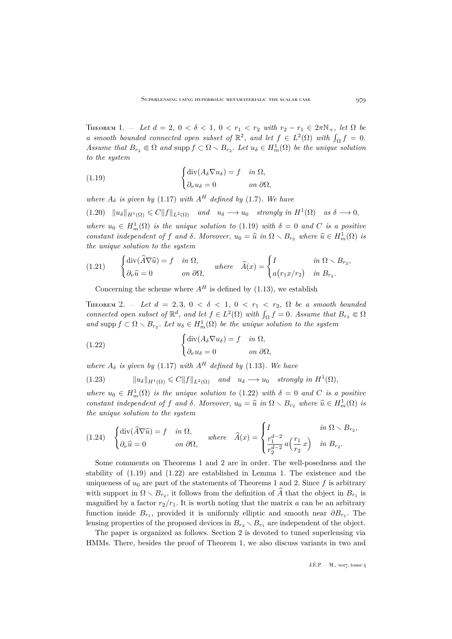<span id="page-7-0"></span>THEOREM 1. – Let  $d = 2$ ,  $0 < \delta < 1$ ,  $0 < r_1 < r_2$  with  $r_2 - r_1 \in 2\pi\mathbb{N}_+$ , let  $\Omega$  be *a* smooth bounded connected open subset of  $\mathbb{R}^2$ , and let  $f \in L^2(\Omega)$  with  $\int_{\Omega} f = 0$ . Assume that  $B_{r_2} \in \Omega$  and supp  $f \subset \Omega \setminus B_{r_2}$ . Let  $u_{\delta} \in H^1_m(\Omega)$  be the unique solution *to the system*

<span id="page-7-2"></span>(1.19) 
$$
\begin{cases} \text{div}(A_{\delta} \nabla u_{\delta}) = f & \text{in } \Omega, \\ \partial_{\nu} u_{\delta} = 0 & \text{on } \partial \Omega, \end{cases}
$$

*where*  $A_{\delta}$  *is given by* [\(1.17\)](#page-6-0) *with*  $A^{H}$  *defined by* [\(1.7\)](#page-4-0)*. We have* 

<span id="page-7-6"></span> $(1.20)$   $\|u_\delta\|_{H^1(\Omega)} \leq C \|f\|_{L^2(\Omega)}$  *and*  $u_\delta \longrightarrow u_0$  *strongly in*  $H^1(\Omega)$  *as*  $\delta \longrightarrow 0$ , where  $u_0 \in H_m^1(\Omega)$  *is the unique solution to* [\(1.19\)](#page-7-2) *with*  $\delta = 0$  *and* C *is a positive constant independent of* f *and*  $\delta$ *. Moreover,*  $u_0 = \hat{u}$  *in*  $\Omega \setminus B_{r_2}$  *where*  $\hat{u} \in H_m^1(\Omega)$  *is* the up issue solution to the system. *the unique solution to the system*

<span id="page-7-4"></span>(1.21) 
$$
\begin{cases} \operatorname{div}(\widehat{A}\nabla \widehat{u}) = f & \text{in } \Omega, \\ \partial_{\nu}\widehat{u} = 0 & \text{on } \partial\Omega, \end{cases} where \quad \widehat{A}(x) = \begin{cases} I & \text{in } \Omega \setminus B_{r_2}, \\ a(r_1x/r_2) & \text{in } B_{r_2}. \end{cases}
$$

Concerning the scheme where  $A<sup>H</sup>$  is defined by [\(1.13\)](#page-5-0), we establish

<span id="page-7-1"></span>THEOREM 2. - Let  $d = 2, 3, 0 < \delta < 1, 0 < r_1 < r_2, \Omega$  be a smooth bounded *connected open subset of*  $\mathbb{R}^d$ *, and let*  $f \in L^2(\Omega)$  *with*  $\int_{\Omega} f = 0$ *. Assume that*  $B_{r_2} \in \Omega$ and supp  $f \subset \Omega \setminus B_{r_2}$ . Let  $u_{\delta} \in H^1_m(\Omega)$  be the unique solution to the system

<span id="page-7-3"></span>(1.22) 
$$
\begin{cases} \text{div}(A_{\delta} \nabla u_{\delta}) = f & \text{in } \Omega, \\ \partial_{\nu} u_{\delta} = 0 & \text{on } \partial \Omega, \end{cases}
$$

*where*  $A_{\delta}$  *is given by* [\(1.17\)](#page-6-0) *with*  $A^{H}$  *defined by* [\(1.13\)](#page-5-0)*. We have* 

(1.23) 
$$
||u_{\delta}||_{H^{1}(\Omega)} \leq C||f||_{L^{2}(\Omega)} \quad and \quad u_{\delta} \longrightarrow u_{0} \quad strongly \ in \ H^{1}(\Omega),
$$

where  $u_0 \in H_m^1(\Omega)$  *is the unique solution to* [\(1.22\)](#page-7-3) *with*  $\delta = 0$  *and* C *is a positive constant independent of* f *and*  $\delta$ *. Moreover,*  $u_0 = \hat{u}$  *in*  $\Omega \setminus B_{r_2}$  *where*  $\hat{u} \in H_m^1(\Omega)$  *is* the unique solution to the unique *the unique solution to the system*

<span id="page-7-5"></span>
$$
(1.24) \quad \begin{cases} \operatorname{div}(\widehat{A}\nabla\widehat{u}) = f & \text{in } \Omega, \\ \partial_{\nu}\widehat{u} = 0 & \text{on } \partial\Omega, \end{cases} \quad \text{where} \quad \widehat{A}(x) = \begin{cases} I & \text{in } \Omega \setminus B_{r_2}, \\ \frac{r_1^{d-2}}{r_2^{d-2}} a\left(\frac{r_1}{r_2}x\right) & \text{in } B_{r_2}. \end{cases}
$$

Some comments on Theorems [1](#page-7-0) and [2](#page-7-1) are in order. The well-posedness and the stability of [\(1.19\)](#page-7-2) and [\(1.22\)](#page-7-3) are established in Lemma [1.](#page-8-1) The existence and the uniqueness of  $u_0$  are part of the statements of Theorems [1](#page-7-0) and [2.](#page-7-1) Since f is arbitrary with support in  $\Omega \setminus B_{r_2}$ , it follows from the definition of  $\widehat{A}$  that the object in  $B_{r_1}$  is magnified by a factor  $r_2/r_1$ . It is worth noting that the matrix a can be an arbitrary function inside  $B_{r_1}$ , provided it is uniformly elliptic and smooth near  $\partial B_{r_1}$ . The lensing properties of the proposed devices in  $B_{r_2} \setminus B_{r_1}$  are independent of the object.

The paper is organized as follows. Section 2 is devoted to tuned superlensing via HMMs. There, besides the proof of Theorem [1,](#page-7-0) we also discuss variants in two and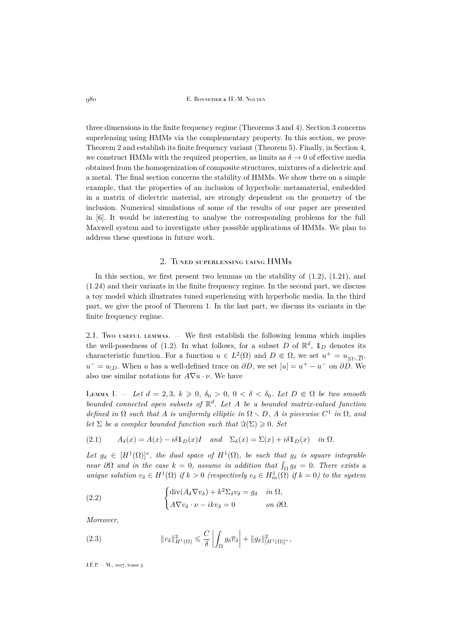three dimensions in the finite frequency regime (Theorems [3](#page-16-0) and [4\)](#page-18-0). Section [3](#page-21-0) concerns superlensing using HMMs via the complementary property. In this section, we prove Theorem [2](#page-7-1) and establish its finite frequency variant (Theorem [5\)](#page-22-0). Finally, in Section 4, we construct HMMs with the required properties, as limits as  $\delta \to 0$  of effective media obtained from the homogenization of composite structures, mixtures of a dielectric and a metal. The final section concerns the stability of HMMs. We show there on a simple example, that the properties of an inclusion of hyperbolic metamaterial, embedded in a matrix of dielectric material, are strongly dependent on the geometry of the inclusion. Numerical simulations of some of the results of our paper are presented in [\[6\]](#page-30-21). It would be interesting to analyse the corresponding problems for the full Maxwell system and to investigate other possible applications of HMMs. We plan to address these questions in future work.

### 2. Tuned superlensing using HMMs

<span id="page-8-0"></span>In this section, we first present two lemmas on the stability of  $(1.2)$ ,  $(1.21)$ , and [\(1.24\)](#page-7-5) and their variants in the finite frequency regime. In the second part, we discuss a toy model which illustrates tuned superlensing with hyperbolic media. In the third part, we give the proof of Theorem [1.](#page-7-0) In the last part, we discuss its variants in the finite frequency regime.

2.1. Two useful lemmas.  $-$  We first establish the following lemma which implies the well-posedness of [\(1.2\)](#page-3-0). In what follows, for a subset D of  $\mathbb{R}^d$ ,  $\mathbb{1}_D$  denotes its characteristic function. For a function  $u \in L^2(\Omega)$  and  $D \in \Omega$ , we set  $u^+ = u_{|\Omega \setminus \overline{D}}$ ,  $u^{-} = u_{|D}$ . When u has a well-defined trace on  $\partial D$ , we set  $[u] = u^{+} - u^{-}$  on  $\partial D$ . We also use similar notations for  $A\nabla u \cdot \nu$ . We have

<span id="page-8-1"></span>LEMMA 1. – Let  $d = 2, 3, k \geq 0, \delta_0 > 0, 0 < \delta < \delta_0$ . Let  $D \in \Omega$  be two smooth *bounded connected open subsets of* R d *. Let* A *be a bounded matrix-valued function defined in*  $\Omega$  *such that* A *is uniformly elliptic in*  $\Omega \setminus D$ , A *is piecewise*  $C^1$  *in*  $\Omega$ *, and let*  $\Sigma$  *be a complex bounded function such that*  $\Im(\Sigma) \geq 0$ *. Set* 

<span id="page-8-2"></span>(2.1) 
$$
A_{\delta}(x) = A(x) - i\delta 1_D(x)I
$$
 and  $\Sigma_{\delta}(x) = \Sigma(x) + i\delta 1_D(x)$  in  $\Omega$ .

Let  $g_{\delta} \in [H^1(\Omega)]^*$ , the dual space of  $H^1(\Omega)$ , be such that  $g_{\delta}$  is square integrable *near*  $\partial\Omega$  *and in the case*  $k = 0$ , *assume in addition that*  $\int_{\Omega} g_{\delta} = 0$ . There exists a *unique solution*  $v_{\delta} \in H^1(\Omega)$  *if*  $k > 0$  *(respectively*  $v_{\delta} \in H^1_m(\Omega)$  *if*  $k = 0$ *)* to the system

(2.2) 
$$
\begin{cases} \text{div}(A_{\delta} \nabla v_{\delta}) + k^{2} \Sigma_{\delta} v_{\delta} = g_{\delta} & \text{in } \Omega, \\ A \nabla v_{\delta} \cdot \nu - i k v_{\delta} = 0 & \text{on } \partial \Omega. \end{cases}
$$

*Moreover,*

<span id="page-8-3"></span>(2.3) 
$$
\|v_{\delta}\|_{H^1(\Omega)}^2 \leq \frac{C}{\delta} \left| \int_{\Omega} g_{\delta} \overline{v}_{\delta} \right| + \|g_{\delta}\|_{[H^1(\Omega)]^*}^2,
$$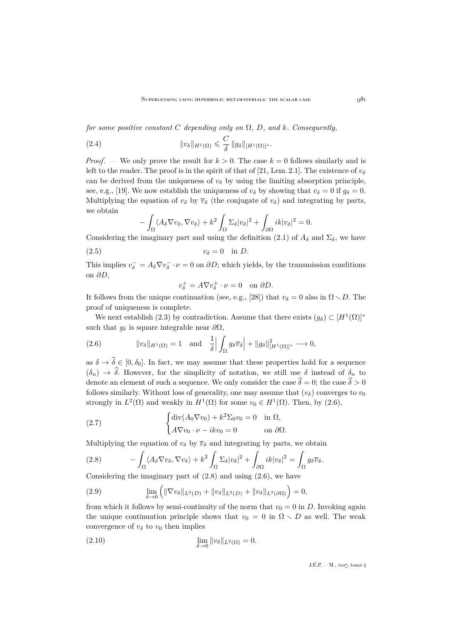*for some positive constant*  $C$  *depending only on*  $\Omega$ *, D<sub><i>,*</sub> and k<sub>*.</sub>* Consequently,</sub>

(2.4) 
$$
\|v_{\delta}\|_{H^1(\Omega)} \leqslant \frac{C}{\delta} \|g_{\delta}\|_{[H^1(\Omega)]^*}.
$$

*Proof.* — We only prove the result for  $k > 0$ . The case  $k = 0$  follows similarly and is left to the reader. The proof is in the spirit of that of [\[21,](#page-30-13) Lem. 2.1]. The existence of  $v_{\delta}$ can be derived from the uniqueness of  $v_{\delta}$  by using the limiting absorption principle, see, e.g., [\[19\]](#page-30-20). We now establish the uniqueness of  $v_{\delta}$  by showing that  $v_{\delta} = 0$  if  $g_{\delta} = 0$ . Multiplying the equation of  $v_{\delta}$  by  $\overline{v}_{\delta}$  (the conjugate of  $v_{\delta}$ ) and integrating by parts, we obtain

<span id="page-9-4"></span>
$$
-\int_{\Omega} \langle A_{\delta} \nabla v_{\delta}, \nabla v_{\delta} \rangle + k^2 \int_{\Omega} \Sigma_{\delta} |v_{\delta}|^2 + \int_{\partial \Omega} ik |v_{\delta}|^2 = 0.
$$

Considering the imaginary part and using the definition [\(2.1\)](#page-8-2) of  $A_{\delta}$  and  $\Sigma_{\delta}$ , we have

$$
(2.5) \t\t v_{\delta} = 0 \t in D.
$$

This implies  $v_\delta^- = A_\delta \nabla v_\delta^- \cdot \nu = 0$  on  $\partial D$ ; which yields, by the transmission conditions on ∂D,

$$
v_{\delta}^{+} = A \nabla v_{\delta}^{+} \cdot \nu = 0 \quad \text{on } \partial D.
$$

It follows from the unique continuation (see, e.g., [\[28\]](#page-30-22)) that  $v_{\delta} = 0$  also in  $\Omega \setminus D$ . The proof of uniqueness is complete.

We next establish [\(2.3\)](#page-8-3) by contradiction. Assume that there exists  $(g_{\delta}) \subset [H^1(\Omega)]^*$ such that  $g_{\delta}$  is square integrable near  $\partial\Omega$ ,

<span id="page-9-0"></span>(2.6) 
$$
\|v_{\delta}\|_{H^1(\Omega)} = 1 \quad \text{and} \quad \frac{1}{\delta} \Big| \int_{\Omega} g_{\delta} \overline{v}_{\delta} \Big| + \|g_{\delta}\|_{[H^1(\Omega)]^*}^2 \longrightarrow 0,
$$

as  $\delta \to \hat{\delta} \in [0, \delta_0]$ . In fact, we may assume that these properties hold for a sequence  $(\delta_n) \to \hat{\delta}$ . However, for the simplicity of notation, we still use  $\delta$  instead of  $\delta_n$  to denote an element of such a sequence. We only consider the case  $\hat{\delta} = 0$ ; the case  $\hat{\delta} > 0$ follows similarly. Without loss of generality, one may assume that  $(v<sub>\delta</sub>)$  converges to  $v<sub>0</sub>$ strongly in  $L^2(\Omega)$  and weakly in  $H^1(\Omega)$  for some  $v_0 \in H^1(\Omega)$ . Then, by  $(2.6)$ ,

(2.7) 
$$
\begin{cases} \operatorname{div}(A_0 \nabla v_0) + k^2 \Sigma_0 v_0 = 0 & \text{in } \Omega, \\ A \nabla v_0 \cdot \nu - i k v_0 = 0 & \text{on } \partial \Omega. \end{cases}
$$

Multiplying the equation of  $v_{\delta}$  by  $\overline{v}_{\delta}$  and integrating by parts, we obtain

<span id="page-9-1"></span>(2.8) 
$$
- \int_{\Omega} \langle A_{\delta} \nabla v_{\delta}, \nabla v_{\delta} \rangle + k^2 \int_{\Omega} \Sigma_{\delta} |v_{\delta}|^2 + \int_{\partial \Omega} ik |v_{\delta}|^2 = \int_{\Omega} g_{\delta} \overline{v}_{\delta}.
$$

Considering the imaginary part of  $(2.8)$  and using  $(2.6)$ , we have

<span id="page-9-3"></span>(2.9) 
$$
\lim_{\delta \to 0} \left( \|\nabla v_{\delta}\|_{L^{2}(D)} + \|v_{\delta}\|_{L^{2}(D)} + \|v_{\delta}\|_{L^{2}(\partial \Omega)} \right) = 0,
$$

from which it follows by semi-continuity of the norm that  $v_0 = 0$  in D. Invoking again the unique continuation principle shows that  $v_0 = 0$  in  $\Omega \setminus D$  as well. The weak convergence of  $v_{\delta}$  to  $v_0$  then implies

<span id="page-9-2"></span>(2.10) 
$$
\lim_{\delta \to 0} ||v_{\delta}||_{L^{2}(\Omega)} = 0.
$$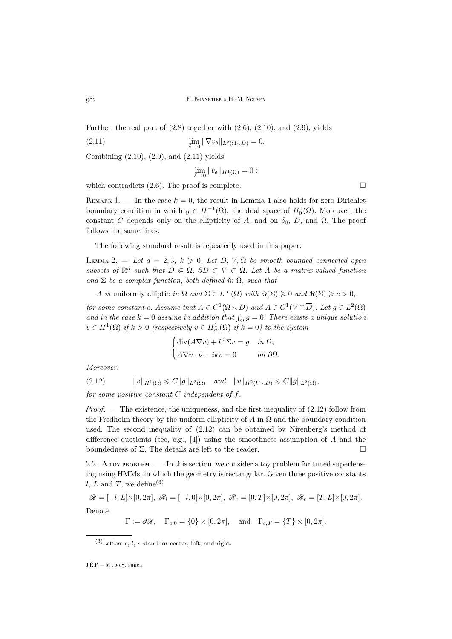Further, the real part of  $(2.8)$  together with  $(2.6)$ ,  $(2.10)$ , and  $(2.9)$ , yields

(2.11) 
$$
\lim_{\delta \to 0} \|\nabla v_{\delta}\|_{L^{2}(\Omega \setminus D)} = 0.
$$

Combining [\(2.10\)](#page-9-2), [\(2.9\)](#page-9-3), and [\(2.11\)](#page-10-0) yields

<span id="page-10-0"></span> $\lim_{\delta \to 0} ||v_\delta||_{H^1(\Omega)} = 0:$ 

which contradicts [\(2.6\)](#page-9-0). The proof is complete.  $\Box$ 

<span id="page-10-3"></span>REMARK [1](#page-8-1).  $-$  In the case  $k = 0$ , the result in Lemma 1 also holds for zero Dirichlet boundary condition in which  $g \in H^{-1}(\Omega)$ , the dual space of  $H_0^1(\Omega)$ . Moreover, the constant C depends only on the ellipticity of A, and on  $\delta_0$ , D, and  $\Omega$ . The proof follows the same lines.

The following standard result is repeatedly used in this paper:

<span id="page-10-2"></span>LEMMA 2.  $-$  *Let*  $d = 2, 3, k \geqslant 0$ *. Let*  $D, V, \Omega$  *be smooth bounded connected open*  $subsets of \mathbb{R}^d$  such that  $D \in \Omega$ ,  $\partial D \subset V \subset \Omega$ . Let A be a matrix-valued function and  $\Sigma$  *be a complex function, both defined in*  $\Omega$ *, such that* 

A *is* uniformly elliptic *in*  $\Omega$  *and*  $\Sigma \in L^{\infty}(\Omega)$  *with*  $\Im(\Sigma) \geq 0$  *and*  $\Re(\Sigma) \geq c > 0$ ,

*for some constant c. Assume that*  $A \in C^1(\Omega \setminus D)$  *and*  $A \in C^1(V \cap \overline{D})$ *. Let*  $g \in L^2(\Omega)$ and in the case  $k = 0$  assume in addition that  $\int_{\Omega} g = 0$ . There exists a unique solution  $v \in H^1(\Omega)$  *if*  $k > 0$  (respectively  $v \in H^1_m(\Omega)$  *if*  $k = 0$ ) to the system

$$
\begin{cases} \text{div}(A\nabla v) + k^2 \Sigma v = g & \text{in } \Omega, \\ A\nabla v \cdot \nu - ikv = 0 & \text{on } \partial \Omega. \end{cases}
$$

<span id="page-10-1"></span>*Moreover,*

 $(2.12)$   $||v||_{H^1(\Omega)} \leq C||g||_{L^2(\Omega)}$  *and*  $||v||_{H^2(V \setminus D)} \leq C||g||_{L^2(\Omega)}$ ,

*for some positive constant* C *independent of* f*.*

*Proof.* — The existence, the uniqueness, and the first inequality of  $(2.12)$  follow from the Fredholm theory by the uniform ellipticity of A in  $\Omega$  and the boundary condition used. The second inequality of [\(2.12\)](#page-10-1) can be obtained by Nirenberg's method of difference quotients (see, e.g., [\[4\]](#page-30-23)) using the smoothness assumption of A and the boundedness of  $\Sigma$ . The details are left to the reader.

<span id="page-10-4"></span>2.2. A toy problem. — In this section, we consider a toy problem for tuned superlensing using HMMs, in which the geometry is rectangular. Given three positive constants l, L and T, we define<sup>(3)</sup>

$$
\mathscr{R} = [-l, L] \times [0, 2\pi], \ \mathscr{R}_l = [-l, 0] \times [0, 2\pi], \ \mathscr{R}_c = [0, T] \times [0, 2\pi], \ \mathscr{R}_r = [T, L] \times [0, 2\pi].
$$
  
Denote

 $\Gamma := \partial \mathscr{R}, \quad \Gamma_{c,0} = \{0\} \times [0, 2\pi], \quad \text{and} \quad \Gamma_{c,T} = \{T\} \times [0, 2\pi].$ 

 $(3)$ Letters c, l, r stand for center, left, and right.

J.É.P. — M., 2017, tome 4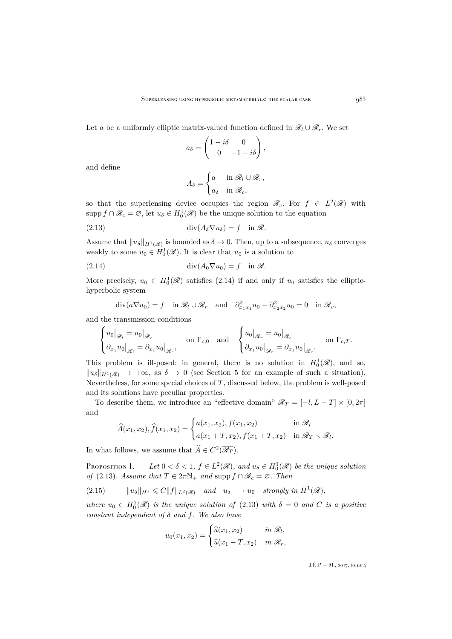Let a be a uniformly elliptic matrix-valued function defined in  $\mathcal{R}_l \cup \mathcal{R}_r$ . We set

$$
a_{\delta} = \begin{pmatrix} 1 - i\delta & 0 \\ 0 & -1 - i\delta \end{pmatrix},
$$

and define

<span id="page-11-1"></span>
$$
A_{\delta} = \begin{cases} a & \text{in } \mathcal{R}_l \cup \mathcal{R}_r, \\ a_{\delta} & \text{in } \mathcal{R}_c, \end{cases}
$$

so that the superlensing device occupies the region  $\mathscr{R}_c$ . For  $f \in L^2(\mathscr{R})$  with supp  $f \cap \mathscr{R}_c = \emptyset$ , let  $u_{\delta} \in H_0^1(\mathscr{R})$  be the unique solution to the equation

(2.13) 
$$
\operatorname{div}(A_{\delta} \nabla u_{\delta}) = f \quad \text{in } \mathscr{R}.
$$

Assume that  $||u_\delta||_{H^1(\mathscr{R})}$  is bounded as  $\delta \to 0$ . Then, up to a subsequence,  $u_\delta$  converges weakly to some  $u_0 \in H_0^1(\mathcal{R})$ . It is clear that  $u_0$  is a solution to

(2.14) div(A0∇u0) = f in R.

More precisely,  $u_0 \in H_0^1(\mathscr{R})$  satisfies [\(2.14\)](#page-11-0) if and only if  $u_0$  satisfies the elliptichyperbolic system

<span id="page-11-0"></span>
$$
\operatorname{div}(a\nabla u_0) = f \quad \text{in } \mathscr{R}_l \cup \mathscr{R}_r \quad \text{and} \quad \partial_{x_1 x_1}^2 u_0 - \partial_{x_2 x_2}^2 u_0 = 0 \quad \text{in } \mathscr{R}_c,
$$

and the transmission conditions

$$
\begin{cases} u_0|_{\mathscr{R}_l} = u_0|_{\mathscr{R}_c} & \text{on } \Gamma_{c,0} \quad \text{and} \quad \begin{cases} u_0|_{\mathscr{R}_r} = u_0|_{\mathscr{R}_c} \\ \partial_{x_1} u_0|_{\mathscr{R}_l} = \partial_{x_1} u_0|_{\mathscr{R}_c} \end{cases}, \quad \text{on } \Gamma_{c,T}. \end{cases}
$$

This problem is ill-posed: in general, there is no solution in  $H_0^1(\mathscr{R})$ , and so,  $||u_{\delta}||_{H^1(\mathscr{R})} \rightarrow +\infty$ , as  $\delta \rightarrow 0$  (see Section [5](#page-27-0) for an example of such a situation). Nevertheless, for some special choices of  $T$ , discussed below, the problem is well-posed and its solutions have peculiar properties.

To describe them, we introduce an "effective domain"  $\mathcal{R}_T = [-l, L - T] \times [0, 2\pi]$ and

$$
\widehat{A}(x_1, x_2), \widehat{f}(x_1, x_2) = \begin{cases} a(x_1, x_2), f(x_1, x_2) & \text{in } \mathcal{R}_l \\ a(x_1 + T, x_2), f(x_1 + T, x_2) & \text{in } \mathcal{R}_l \setminus \mathcal{R}_l. \end{cases}
$$

In what follows, we assume that  $\widehat{A} \in C^2(\overline{\mathscr{R}_T}).$ 

<span id="page-11-2"></span>PROPOSITION 1.  $-$  Let  $0 < \delta < 1$ ,  $f \in L^2(\mathcal{R})$ , and  $u_{\delta} \in H_0^1(\mathcal{R})$  be the unique solution *of* [\(2.13\)](#page-11-1)*. Assume that*  $T \in 2\pi\mathbb{N}_+$  *and* supp  $f \cap \mathcal{R}_c = \emptyset$ *. Then* 

<span id="page-11-3"></span>
$$
(2.15) \t\t ||u_{\delta}||_{H^{1}} \leqslant C||f||_{L^{2}(\mathscr{R})} \t and \t u_{\delta} \longrightarrow u_{0} \t strongly in H^{1}(\mathscr{R}),
$$

where  $u_0 \in H_0^1(\mathcal{R})$  *is the unique solution of* [\(2.13\)](#page-11-1) *with*  $\delta = 0$  *and C is a positive constant independent of* δ *and* f*. We also have*

$$
u_0(x_1, x_2) = \begin{cases} \widehat{u}(x_1, x_2) & \text{in } \mathscr{R}_l, \\ \widehat{u}(x_1 - T, x_2) & \text{in } \mathscr{R}_r, \end{cases}
$$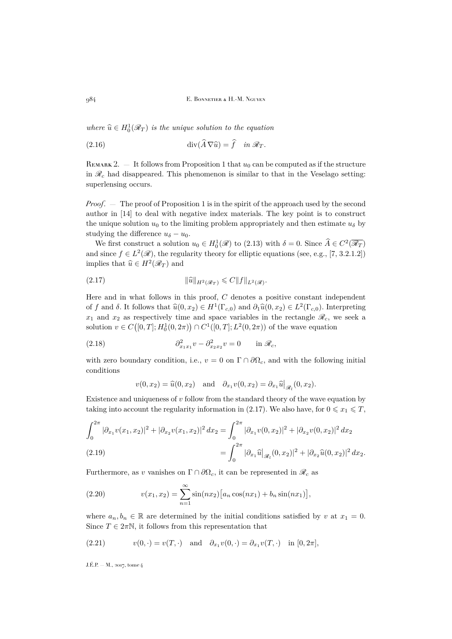where  $\widehat{u} \in H_0^1(\mathcal{R}_T)$  *is the unique solution to the equation* 

<span id="page-12-1"></span>(2.16) 
$$
\operatorname{div}(\widehat{A}\nabla\widehat{u}) = \widehat{f} \quad \text{in } \mathscr{R}_T.
$$

REMARK 2.  $-$  It follows from Proposition [1](#page-11-2) that  $u_0$  can be computed as if the structure in  $\mathcal{R}_c$  had disappeared. This phenomenon is similar to that in the Veselago setting: superlensing occurs.

*Proof.* — The proof of Proposition [1](#page-11-2) is in the spirit of the approach used by the second author in [\[14\]](#page-30-19) to deal with negative index materials. The key point is to construct the unique solution  $u_0$  to the limiting problem appropriately and then estimate  $u_\delta$  by studying the difference  $u_{\delta} - u_0$ .

We first construct a solution  $u_0 \in H_0^1(\mathcal{R})$  to [\(2.13\)](#page-11-1) with  $\delta = 0$ . Since  $\widehat{A} \in C^2(\overline{\mathcal{R}_T})$ and since  $f \in L^2(\mathscr{R})$ , the regularity theory for elliptic equations (see, e.g., [\[7,](#page-30-24) 3.2.1.2]) implies that  $\widehat{u} \in H^2(\mathscr{R}_T)$  and

<span id="page-12-0"></span>(2.17) 
$$
\|\widehat{u}\|_{H^2(\mathscr{R}_T)} \leqslant C \|f\|_{L^2(\mathscr{R})}.
$$

Here and in what follows in this proof,  $C$  denotes a positive constant independent of f and  $\delta$ . It follows that  $\widehat{u}(0, x_2) \in H^1(\Gamma_{c,0})$  and  $\partial_1 \widehat{u}(0, x_2) \in L^2(\Gamma_{c,0})$ . Interpreting  $x_1$  and  $x_2$  as respectively time and space variables in the rectangle  $\mathscr{R}_c$ , we seek a solution  $v \in C([0, T]; H_0^1(0, 2\pi)) \cap C^1([0, T]; L^2(0, 2\pi))$  of the wave equation

(2.18) 
$$
\partial_{x_1x_1}^2 v - \partial_{x_2x_2}^2 v = 0 \quad \text{in } \mathcal{R}_c,
$$

with zero boundary condition, i.e.,  $v = 0$  on  $\Gamma \cap \partial \Omega_c$ , and with the following initial conditions

<span id="page-12-2"></span>
$$
v(0, x_2) = \hat{u}(0, x_2)
$$
 and  $\partial_{x_1} v(0, x_2) = \partial_{x_1} \hat{u}|_{\mathscr{R}_1}(0, x_2).$ 

Existence and uniqueness of  $v$  follow from the standard theory of the wave equation by taking into account the regularity information in [\(2.17\)](#page-12-0). We also have, for  $0 \leq x_1 \leq T$ ,

<span id="page-12-4"></span>
$$
\int_0^{2\pi} |\partial_{x_1} v(x_1, x_2)|^2 + |\partial_{x_2} v(x_1, x_2)|^2 dx_2 = \int_0^{2\pi} |\partial_{x_1} v(0, x_2)|^2 + |\partial_{x_2} v(0, x_2)|^2 dx_2
$$
  
(2.19)  

$$
= \int_0^{2\pi} |\partial_{x_1} \hat{u}|_{\mathscr{R}_1} (0, x_2)|^2 + |\partial_{x_2} \hat{u}(0, x_2)|^2 dx_2.
$$

Furthermore, as v vanishes on  $\Gamma \cap \partial \Omega_c$ , it can be represented in  $\mathcal{R}_c$  as

<span id="page-12-5"></span>(2.20) 
$$
v(x_1, x_2) = \sum_{n=1}^{\infty} \sin(nx_2) \left[ a_n \cos(nx_1) + b_n \sin(nx_1) \right],
$$

where  $a_n, b_n \in \mathbb{R}$  are determined by the initial conditions satisfied by v at  $x_1 = 0$ . Since  $T \in 2\pi\mathbb{N}$ , it follows from this representation that

<span id="page-12-3"></span>(2.21) 
$$
v(0, \cdot) = v(T, \cdot)
$$
 and  $\partial_{x_1} v(0, \cdot) = \partial_{x_1} v(T, \cdot)$  in  $[0, 2\pi]$ ,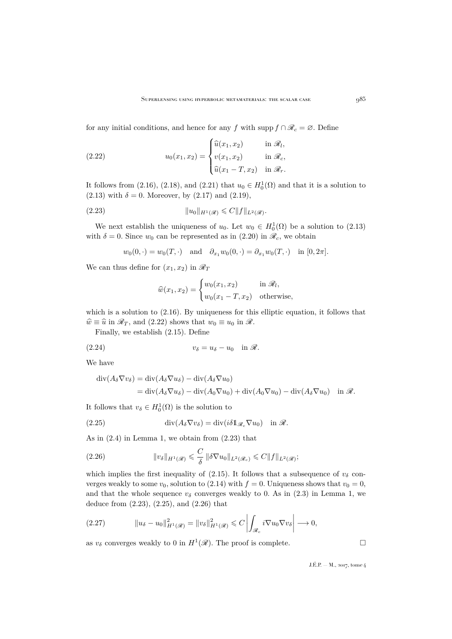for any initial conditions, and hence for any f with supp  $f \cap \mathcal{R}_c = \emptyset$ . Define

<span id="page-13-0"></span>(2.22) 
$$
u_0(x_1, x_2) = \begin{cases} \widehat{u}(x_1, x_2) & \text{in } \mathcal{R}_l, \\ v(x_1, x_2) & \text{in } \mathcal{R}_c, \\ \widehat{u}(x_1 - T, x_2) & \text{in } \mathcal{R}_r. \end{cases}
$$

It follows from [\(2.16\)](#page-12-1), [\(2.18\)](#page-12-2), and [\(2.21\)](#page-12-3) that  $u_0 \in H_0^1(\Omega)$  and that it is a solution to  $(2.13)$  with  $\delta = 0$ . Moreover, by  $(2.17)$  and  $(2.19)$ ,

(2.23) 
$$
||u_0||_{H^1(\mathscr{R})} \leq C||f||_{L^2(\mathscr{R})}.
$$

We next establish the uniqueness of  $u_0$ . Let  $w_0 \in H_0^1(\Omega)$  be a solution to  $(2.13)$ with  $\delta = 0$ . Since  $w_0$  can be represented as in [\(2.20\)](#page-12-5) in  $\mathcal{R}_c$ , we obtain

<span id="page-13-1"></span>
$$
w_0(0, \cdot) = w_0(T, \cdot)
$$
 and  $\partial_{x_1} w_0(0, \cdot) = \partial_{x_1} w_0(T, \cdot)$  in  $[0, 2\pi]$ .

We can thus define for  $(x_1, x_2)$  in  $\mathcal{R}_T$ 

$$
\widehat{w}(x_1, x_2) = \begin{cases} w_0(x_1, x_2) & \text{in } \mathcal{R}_l, \\ w_0(x_1 - T, x_2) & \text{otherwise,} \end{cases}
$$

which is a solution to  $(2.16)$ . By uniqueness for this elliptic equation, it follows that  $\hat{w} \equiv \hat{u}$  in  $\mathcal{R}_T$ , and [\(2.22\)](#page-13-0) shows that  $w_0 \equiv u_0$  in  $\mathcal{R}$ .

Finally, we establish [\(2.15\)](#page-11-3). Define

$$
(2.24) \t\t v_{\delta} = u_{\delta} - u_0 \quad \text{in } \mathscr{R}.
$$

We have

$$
\operatorname{div}(A_{\delta}\nabla v_{\delta}) = \operatorname{div}(A_{\delta}\nabla u_{\delta}) - \operatorname{div}(A_{\delta}\nabla u_{0})
$$
  
= 
$$
\operatorname{div}(A_{\delta}\nabla u_{\delta}) - \operatorname{div}(A_{0}\nabla u_{0}) + \operatorname{div}(A_{0}\nabla u_{0}) - \operatorname{div}(A_{\delta}\nabla u_{0}) \quad \text{in } \mathcal{R}.
$$

It follows that  $v_{\delta} \in H_0^1(\Omega)$  is the solution to

<span id="page-13-2"></span>(2.25) 
$$
\operatorname{div}(A_{\delta} \nabla v_{\delta}) = \operatorname{div}(i\delta 1_{\mathscr{R}_{c}} \nabla u_{0}) \quad \text{in } \mathscr{R}.
$$

As in  $(2.4)$  in Lemma [1,](#page-8-1) we obtain from  $(2.23)$  that

<span id="page-13-3"></span>(2.26) 
$$
\|v_{\delta}\|_{H^1(\mathscr{R})} \leqslant \frac{C}{\delta} \|\delta \nabla u_0\|_{L^2(\mathscr{R}_c)} \leqslant C \|f\|_{L^2(\mathscr{R})};
$$

which implies the first inequality of [\(2.15\)](#page-11-3). It follows that a subsequence of  $v_{\delta}$  converges weakly to some  $v_0$ , solution to [\(2.14\)](#page-11-0) with  $f = 0$ . Uniqueness shows that  $v_0 = 0$ , and that the whole sequence  $v_{\delta}$  converges weakly to 0. As in [\(2.3\)](#page-8-3) in Lemma [1,](#page-8-1) we deduce from [\(2.23\)](#page-13-1), [\(2.25\)](#page-13-2), and [\(2.26\)](#page-13-3) that

$$
(2.27) \t\t ||u_{\delta}-u_0||_{H^1(\mathscr{R})}^2=||v_{\delta}||_{H^1(\mathscr{R})}^2\leqslant C\left|\int_{\mathscr{R}_c}i\nabla u_0\nabla v_{\delta}\right|\longrightarrow 0,
$$

as  $v_{\delta}$  converges weakly to 0 in  $H^{1}(\mathscr{R})$ . The proof is complete.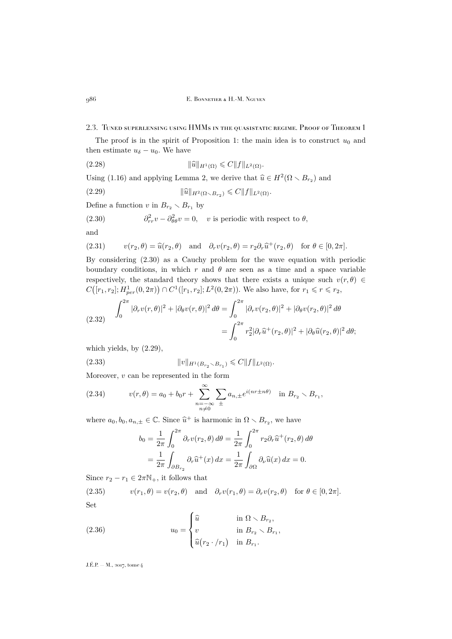2.3. Tuned superlensing using HMMs in the quasistatic regime. Proof of Theorem [1](#page-7-0)

The proof is in the spirit of Proposition [1:](#page-11-2) the main idea is to construct  $u_0$  and then estimate  $u_{\delta} - u_0$ . We have

<span id="page-14-2"></span>
$$
(2.28) \t\t\t ||\widehat{u}||_{H^1(\Omega)} \leqslant C||f||_{L^2(\Omega)}.
$$

Using [\(1.16\)](#page-6-1) and applying Lemma [2,](#page-10-2) we derive that  $\hat{u} \in H^2(\Omega \setminus B_{r_2})$  and

<span id="page-14-1"></span>(2.29) 
$$
\|\widehat{u}\|_{H^2(\Omega \setminus B_{r_2})} \leq C \|f\|_{L^2(\Omega)}.
$$

Define a function v in  $B_{r_2} \setminus B_{r_1}$  by

<span id="page-14-0"></span>(2.30) 
$$
\partial_{rr}^2 v - \partial_{\theta\theta}^2 v = 0, \quad v \text{ is periodic with respect to } \theta,
$$

and

<span id="page-14-3"></span>(2.31) 
$$
v(r_2, \theta) = \widehat{u}(r_2, \theta) \text{ and } \partial_r v(r_2, \theta) = r_2 \partial_r \widehat{u}^+(r_2, \theta) \text{ for } \theta \in [0, 2\pi].
$$

By considering [\(2.30\)](#page-14-0) as a Cauchy problem for the wave equation with periodic boundary conditions, in which r and  $\theta$  are seen as a time and a space variable respectively, the standard theory shows that there exists a unique such  $v(r, \theta) \in$  $C([r_1, r_2]; H_{per}^1(0, 2\pi)) \cap C^1([r_1, r_2]; L^2(0, 2\pi))$ . We also have, for  $r_1 \leq r \leq r_2$ ,

(2.32) 
$$
\int_0^{2\pi} |\partial_r v(r,\theta)|^2 + |\partial_\theta v(r,\theta)|^2 d\theta = \int_0^{2\pi} |\partial_r v(r_2,\theta)|^2 + |\partial_\theta v(r_2,\theta)|^2 d\theta
$$

$$
= \int_0^{2\pi} r_2^2 |\partial_r \widehat{u}^+(r_2,\theta)|^2 + |\partial_\theta \widehat{u}(r_2,\theta)|^2 d\theta;
$$

which yields, by [\(2.29\)](#page-14-1),

(2.33) 
$$
||v||_{H^1(B_{r_2} \setminus B_{r_1})} \leq C||f||_{L^2(\Omega)}.
$$

Moreover,  $v$  can be represented in the form

<span id="page-14-6"></span>(2.34) 
$$
v(r,\theta) = a_0 + b_0 r + \sum_{\substack{n=-\infty\\n\neq 0}}^{\infty} \sum_{\pm} a_{n,\pm} e^{i(nr\pm n\theta)} \text{ in } B_{r_2} \setminus B_{r_1},
$$

where  $a_0, b_0, a_{n,\pm} \in \mathbb{C}$ . Since  $\widehat{u}^+$  is harmonic in  $\Omega \setminus B_{r_2}$ , we have

<span id="page-14-4"></span>
$$
b_0 = \frac{1}{2\pi} \int_0^{2\pi} \partial_r v(r_2, \theta) d\theta = \frac{1}{2\pi} \int_0^{2\pi} r_2 \partial_r \hat{u}^+(r_2, \theta) d\theta
$$
  
= 
$$
\frac{1}{2\pi} \int_{\partial B_{r_2}} \partial_r \hat{u}^+(x) dx = \frac{1}{2\pi} \int_{\partial \Omega} \partial_\nu \hat{u}(x) dx = 0.
$$

Since  $r_2 - r_1 \in 2\pi\mathbb{N}_+$ , it follows that

<span id="page-14-5"></span>(2.35)  $v(r_1, \theta) = v(r_2, \theta)$  and  $\partial_r v(r_1, \theta) = \partial_r v(r_2, \theta)$  for  $\theta \in [0, 2\pi]$ . Set

(2.36) 
$$
u_0 = \begin{cases} \widehat{u} & \text{in } \Omega \setminus B_{r_2}, \\ v & \text{in } B_{r_2} \setminus B_{r_1}, \\ \widehat{u}(r_2 \cdot / r_1) & \text{in } B_{r_1}. \end{cases}
$$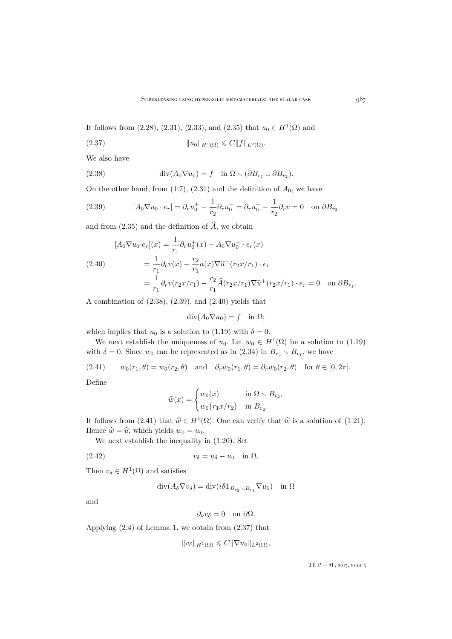It follows from  $(2.28)$ ,  $(2.31)$ ,  $(2.33)$ , and  $(2.35)$  that  $u_0 \in H^1(\Omega)$  and

<span id="page-15-4"></span>(2.37) ku0kH1(Ω) 6 CkfkL2(Ω).

We also have

<span id="page-15-0"></span>(2.38) 
$$
\operatorname{div}(A_0 \nabla u_0) = f \quad \text{in } \Omega \setminus (\partial B_{r_1} \cup \partial B_{r_2}).
$$

On the other hand, from  $(1.7)$ ,  $(2.31)$  and the definition of  $A_0$ , we have

<span id="page-15-1"></span>(2.39) 
$$
[A_0 \nabla u_0 \cdot e_r] = \partial_r u_0^+ - \frac{1}{r_2} \partial_r u_0^- = \partial_r u_0^+ - \frac{1}{r_2} \partial_r v = 0 \text{ on } \partial B_{r_2}
$$

and from [\(2.35\)](#page-14-5) and the definition of  $\hat{A}$ , we obtain

<span id="page-15-2"></span>
$$
[A_0 \nabla u_0 \cdot e_r](x) = \frac{1}{r_1} \partial_r u_0^+(x) - A_0 \nabla u_0^- \cdot e_r(x)
$$
  
\n
$$
= \frac{1}{r_1} \partial_r v(x) - \frac{r_2}{r_1} a(x) \nabla \hat{u}^-(r_2 x/r_1) \cdot e_r
$$
  
\n
$$
= \frac{1}{r_1} \partial_r v(r_2 x/r_1) - \frac{r_2}{r_1} \hat{A}(r_2 x/r_1) \nabla \hat{u}^+(r_2 x/r_1) \cdot e_r = 0 \text{ on } \partial B_{r_1}.
$$

A combination of [\(2.38\)](#page-15-0), [\(2.39\)](#page-15-1), and [\(2.40\)](#page-15-2) yields that

 $\text{div}(A_0 \nabla u_0) = f$  in  $\Omega$ ;

which implies that  $u_0$  is a solution to [\(1.19\)](#page-7-2) with  $\delta = 0$ .

We next establish the uniqueness of  $u_0$ . Let  $w_0 \in H^1(\Omega)$  be a solution to [\(1.19\)](#page-7-2) with  $\delta = 0$ . Since  $w_0$  can be represented as in  $(2.34)$  in  $B_{r_2} \setminus B_{r_1}$ , we have

<span id="page-15-3"></span> $(2.41)$   $w_0(r_1, \theta) = w_0(r_2, \theta)$  and  $\partial_r w_0(r_1, \theta) = \partial_r w_0(r_2, \theta)$  for  $\theta \in [0, 2\pi]$ .

Define

$$
\widehat{w}(x) = \begin{cases} w_0(x) & \text{in } \Omega \setminus B_{r_2}, \\ w_0(r_1x/r_2) & \text{in } B_{r_2}. \end{cases}
$$

It follows from [\(2.41\)](#page-15-3) that  $\hat{w} \in H^1(\Omega)$ . One can verify that  $\hat{w}$  is a solution of [\(1.21\)](#page-7-4). Hence  $\hat{w} = \hat{u}$ ; which yields  $w_0 = u_0$ .

We next establish the inequality in [\(1.20\)](#page-7-6). Set

$$
(2.42) \t\t v_{\delta} = u_{\delta} - u_0 \quad \text{in } \Omega.
$$

Then  $v_{\delta} \in H^1(\Omega)$  and satisfies

$$
\mathrm{div}(A_\delta \nabla v_\delta) = \mathrm{div}(i \delta 1\!\!1_{B_{r_2} \smallsetminus B_{r_1}} \nabla u_0) \quad \text{in } \Omega
$$

and

$$
\partial_{\nu}v_{\delta}=0 \quad \text{on } \partial\Omega.
$$

Applying [\(2.4\)](#page-9-4) of Lemma [1,](#page-8-1) we obtain from [\(2.37\)](#page-15-4) that

$$
||v_{\delta}||_{H^1(\Omega)} \leqslant C||\nabla u_0||_{L^2(\Omega)},
$$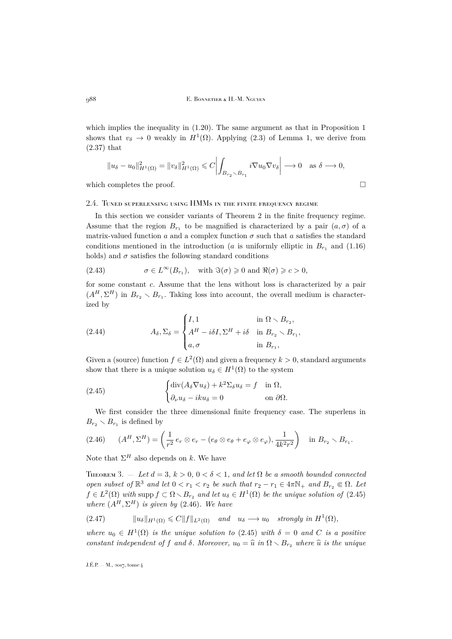which implies the inequality in  $(1.20)$ . The same argument as that in Proposition [1](#page-11-2) shows that  $v_{\delta} \to 0$  weakly in  $H^1(\Omega)$ . Applying [\(2.3\)](#page-8-3) of Lemma [1,](#page-8-1) we derive from [\(2.37\)](#page-15-4) that

$$
||u_{\delta} - u_0||_{H^1(\Omega)}^2 = ||v_{\delta}||_{H^1(\Omega)}^2 \leq C \left| \int_{B_{r_2} \setminus B_{r_1}} i \nabla u_0 \nabla v_{\delta} \right| \longrightarrow 0 \quad \text{as } \delta \longrightarrow 0,
$$

which completes the proof.  $\Box$ 

#### 2.4. Tuned superlensing using HMMs in the finite frequency regime

In this section we consider variants of Theorem [2](#page-7-1) in the finite frequency regime. Assume that the region  $B_{r_1}$  to be magnified is characterized by a pair  $(a, \sigma)$  of a matrix-valued function a and a complex function  $\sigma$  such that a satisfies the standard conditions mentioned in the introduction (*a* is uniformly elliptic in  $B_{r_1}$  and [\(1.16\)](#page-6-1) holds) and  $\sigma$  satisfies the following standard conditions

(2.43) 
$$
\sigma \in L^{\infty}(B_{r_1}), \text{ with } \Im(\sigma) \geq 0 \text{ and } \Re(\sigma) \geq c > 0,
$$

for some constant c. Assume that the lens without loss is characterized by a pair  $(A^H, \Sigma^H)$  in  $B_{r_2} \setminus B_{r_1}$ . Taking loss into account, the overall medium is characterized by

(2.44) 
$$
A_{\delta}, \Sigma_{\delta} = \begin{cases} I, 1 & \text{in } \Omega \setminus B_{r_2}, \\ A^H - i\delta I, \Sigma^H + i\delta & \text{in } B_{r_2} \setminus B_{r_1}, \\ a, \sigma & \text{in } B_{r_1}, \end{cases}
$$

Given a (source) function  $f \in L^2(\Omega)$  and given a frequency  $k > 0$ , standard arguments show that there is a unique solution  $u_{\delta} \in H^1(\Omega)$  to the system

<span id="page-16-1"></span>(2.45) 
$$
\begin{cases} \text{div}(A_{\delta} \nabla u_{\delta}) + k^2 \Sigma_{\delta} u_{\delta} = f & \text{in } \Omega, \\ \partial_{\nu} u_{\delta} - i k u_{\delta} = 0 & \text{on } \partial \Omega. \end{cases}
$$

We first consider the three dimensional finite frequency case. The superlens in  $B_{r_2} \setminus B_{r_1}$  is defined by

<span id="page-16-2"></span>
$$
(2.46) \qquad (A^H, \Sigma^H) = \left(\frac{1}{r^2} e_r \otimes e_r - (e_\theta \otimes e_\theta + e_\varphi \otimes e_\varphi), \frac{1}{4k^2r^2}\right) \quad \text{in } B_{r_2} \setminus B_{r_1}.
$$

Note that  $\Sigma^H$  also depends on k. We have

<span id="page-16-0"></span>THEOREM 3.  $-$  *Let*  $d = 3$ ,  $k > 0$ ,  $0 < \delta < 1$ , and let  $\Omega$  be a smooth bounded connected *open subset of*  $\mathbb{R}^3$  *and let*  $0 < r_1 < r_2$  *be such that*  $r_2 - r_1 \in 4\pi\mathbb{N}_+$  *and*  $B_{r_2} \in \Omega$ *. Let*  $f \in L^2(\Omega)$  with supp  $f \subset \Omega \setminus B_{r_2}$  and let  $u_{\delta} \in H^1(\Omega)$  be the unique solution of  $(2.45)$ *where*  $(A^H, \Sigma^H)$  *is given by* [\(2.46\)](#page-16-2)*. We have* 

$$
(2.47) \t\t ||u_{\delta}||_{H^{1}(\Omega)} \leq C||f||_{L^{2}(\Omega)} \t and \t u_{\delta} \longrightarrow u_{0} \t strongly in H^{1}(\Omega),
$$

where  $u_0 \in H^1(\Omega)$  *is the unique solution to* [\(2.45\)](#page-16-1) *with*  $\delta = 0$  *and* C *is a positive constant independent of* f *and*  $\delta$ *. Moreover,*  $u_0 = \hat{u}$  *in*  $\Omega \setminus B_{r_2}$  *where*  $\hat{u}$  *is the unique*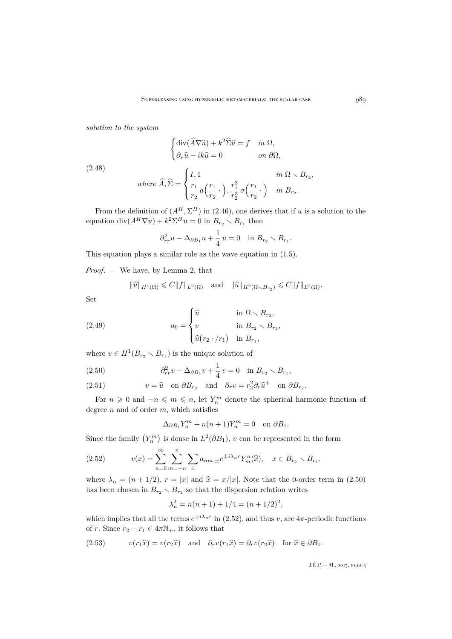*solution to the system*

$$
\begin{cases} \operatorname{div}(\widehat{A}\nabla \widehat{u}) + k^2 \widehat{\Sigma} \widehat{u} = f & \text{in } \Omega, \\ \partial_{\nu} \widehat{u} - ik \widehat{u} = 0 & \text{on } \partial \Omega, \end{cases}
$$

(2.48)

where 
$$
\widehat{A}, \widehat{\Sigma} = \begin{cases} I, 1 & \text{in } \Omega \setminus B_{r_2}, \\ \frac{r_1}{r_2} a\left(\frac{r_1}{r_2}\cdot\right), \frac{r_1^3}{r_2^3} \sigma\left(\frac{r_1}{r_2}\cdot\right) & \text{in } B_{r_2}. \end{cases}
$$

From the definition of  $(A^H, \Sigma^H)$  in [\(2.46\)](#page-16-2), one derives that if u is a solution to the equation  $\text{div}(A^H \nabla u) + k^2 \Sigma^H u = 0$  in  $B_{r_2} \setminus B_{r_1}$  then

$$
\partial_{rr}^2 u - \Delta_{\partial B_1} u + \frac{1}{4} u = 0 \quad \text{in } B_{r_2} \setminus B_{r_1}.
$$

This equation plays a similar role as the wave equation in [\(1.5\)](#page-3-1).

*Proof*. — We have, by Lemma [2,](#page-10-2) that

$$
\|\widehat{u}\|_{H^1(\Omega)} \leq C \|f\|_{L^2(\Omega)}
$$
 and  $\|\widehat{u}\|_{H^2(\Omega \setminus B_{r_2})} \leq C \|f\|_{L^2(\Omega)}$ .

Set

(2.49) 
$$
u_0 = \begin{cases} \widehat{u} & \text{in } \Omega \setminus B_{r_2}, \\ v & \text{in } B_{r_2} \setminus B_{r_1}, \\ \widehat{u}(r_2 \cdot / r_1) & \text{in } B_{r_1}, \end{cases}
$$

where  $v \in H^1(B_{r_2} \setminus B_{r_1})$  is the unique solution of

<span id="page-17-0"></span>(2.50) 
$$
\partial_{rr}^2 v - \Delta_{\partial B_1} v + \frac{1}{4} v = 0 \text{ in } B_{r_2} \setminus B_{r_1},
$$

<span id="page-17-2"></span>(2.51) 
$$
v = \hat{u}
$$
 on  $\partial B_{r_2}$  and  $\partial_r v = r_2^2 \partial_r \hat{u}^+$  on  $\partial B_{r_2}$ .

For  $n \geq 0$  and  $-n \leq m \leq n$ , let  $Y_n^m$  denote the spherical harmonic function of degree  $n$  and of order  $m$ , which satisfies

$$
\Delta_{\partial B_1} Y_n^m + n(n+1) Y_n^m = 0 \quad \text{on } \partial B_1.
$$

Since the family  $(Y_n^m)$  is dense in  $L^2(\partial B_1)$ , v can be represented in the form

<span id="page-17-1"></span>(2.52) 
$$
v(x) = \sum_{n=0}^{\infty} \sum_{m=-n}^{n} \sum_{\pm} a_{nm,\pm} e^{\pm i \lambda_n r} Y_m^n(\hat{x}), \quad x \in B_{r_2} \setminus B_{r_1},
$$

where  $\lambda_n = (n + 1/2), r = |x|$  and  $\hat{x} = x/|x|$ . Note that the 0-order term in [\(2.50\)](#page-17-0) has been chosen in  $B_{r_2} \setminus B_{r_1}$  so that the dispersion relation writes

$$
\lambda_n^2 = n(n+1) + 1/4 = (n+1/2)^2,
$$

which implies that all the terms  $e^{\pm i\lambda_n r}$  in [\(2.52\)](#page-17-1), and thus v, are  $4\pi$ -periodic functions of r. Since  $r_2 - r_1 \in 4\pi\mathbb{N}_+$ , it follows that

<span id="page-17-3"></span>(2.53) 
$$
v(r_1\hat{x}) = v(r_2\hat{x}) \text{ and } \partial_r v(r_1\hat{x}) = \partial_r v(r_2\hat{x}) \text{ for } \hat{x} \in \partial B_1.
$$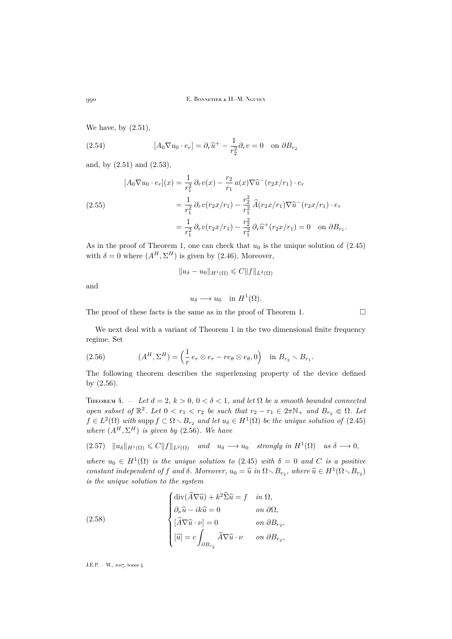We have, by [\(2.51\)](#page-17-2),

(2.54) 
$$
[A_0 \nabla u_0 \cdot e_r] = \partial_r \hat{u}^+ - \frac{1}{r_2^2} \partial_r v = 0 \text{ on } \partial B_{r_2}
$$

and, by [\(2.51\)](#page-17-2) and [\(2.53\)](#page-17-3),

$$
[A_0 \nabla u_0 \cdot e_r](x) = \frac{1}{r_1^2} \partial_r v(x) - \frac{r_2}{r_1} a(x) \nabla \hat{u}^-(r_2 x/r_1) \cdot e_r
$$
  
\n
$$
= \frac{1}{r_1^2} \partial_r v(r_2 x/r_1) - \frac{r_2^2}{r_1^2} \hat{A}(r_2 x/r_1) \nabla \hat{u}^-(r_2 x/r_1) \cdot e_r
$$
  
\n
$$
= \frac{1}{r_1^2} \partial_r v(r_2 x/r_1) - \frac{r_2^2}{r_1^2} \partial_r \hat{u}^+(r_2 x/r_1) = 0 \text{ on } \partial B_{r_1}.
$$

As in the proof of Theorem [1,](#page-7-0) one can check that  $u_0$  is the unique solution of  $(2.45)$ with  $\delta = 0$  where  $(A^H, \Sigma^H)$  is given by [\(2.46\)](#page-16-2). Moreover,

$$
||u_{\delta} - u_0||_{H^1(\Omega)} \leq C||f||_{L^2(\Omega)}
$$

and

$$
u_{\delta} \longrightarrow u_0 \quad \text{in } H^1(\Omega).
$$

The proof of these facts is the same as in the proof of Theorem [1.](#page-7-0)  $\Box$ 

We next deal with a variant of Theorem [1](#page-7-0) in the two dimensional finite frequency regime. Set

<span id="page-18-1"></span>(2.56) 
$$
(A^H, \Sigma^H) = \left(\frac{1}{r} e_r \otimes e_r - r e_\theta \otimes e_\theta, 0\right) \text{ in } B_{r_2} \setminus B_{r_1}.
$$

The following theorem describes the superlensing property of the device defined by [\(2.56\)](#page-18-1).

<span id="page-18-0"></span>THEOREM 4.  $-$  Let  $d = 2$ ,  $k > 0$ ,  $0 < \delta < 1$ , and let  $\Omega$  be a smooth bounded connected *open subset of*  $\mathbb{R}^2$ *. Let*  $0 < r_1 < r_2$  *be such that*  $r_2 - r_1 \in 2\pi\mathbb{N}_+$  *and*  $B_{r_2} \in \Omega$ *. Let*  $f \in L^2(\Omega)$  with supp  $f \subset \Omega \setminus B_{r_2}$  and let  $u_{\delta} \in H^1(\Omega)$  be the unique solution of  $(2.45)$ *where*  $(A^H, \Sigma^H)$  *is given by* [\(2.56\)](#page-18-1)*. We have* 

 $(2.57)$   $\|u_{\delta}\|_{H^{1}(\Omega)} \leq C \|f\|_{L^{2}(\Omega)}$  *and*  $u_{\delta} \longrightarrow u_{0}$  *strongly in*  $H^{1}(\Omega)$  *as*  $\delta \longrightarrow 0$ ,

where  $u_0 \in H^1(\Omega)$  *is the unique solution to* [\(2.45\)](#page-16-1) *with*  $\delta = 0$  *and* C *is a positive constant independent of f and*  $\delta$ *. Moreover,*  $u_0 = \hat{u}$  *in*  $\Omega \setminus B_{r_2}$ *, where*  $\hat{u} \in H^1(\Omega \setminus B_{r_2})$ *is the unique solution to the system*

<span id="page-18-2"></span>(2.58)  
\n
$$
\begin{cases}\n\text{div}(\widehat{A}\nabla \widehat{u}) + k^2 \widehat{\Sigma} \widehat{u} = f & \text{in } \Omega, \\
\partial_{\nu} \widehat{u} - ik \widehat{u} = 0 & \text{on } \partial \Omega, \\
[\widehat{A}\nabla \widehat{u} \cdot \nu] = 0 & \text{on } \partial B_{r_2}, \\
[\widehat{u}] = c \int_{\partial B_{r_2}} \widehat{A}\nabla \widehat{u} \cdot \nu & \text{on } \partial B_{r_2},\n\end{cases}
$$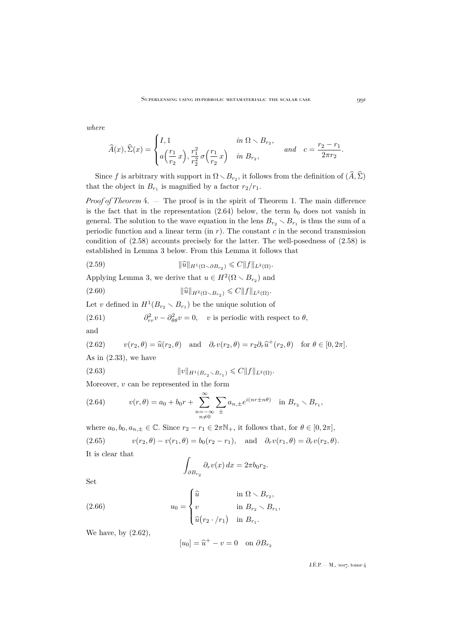*where*

$$
\widehat{A}(x), \widehat{\Sigma}(x) = \begin{cases} I, 1 & \text{in } \Omega \setminus B_{r_2}, \\ a\left(\frac{r_1}{r_2}x\right), \frac{r_1^2}{r_2^2} \sigma\left(\frac{r_1}{r_2}x\right) & \text{in } B_{r_2}, \end{cases} \text{ and } c = \frac{r_2 - r_1}{2\pi r_2}.
$$

Since f is arbitrary with support in  $\Omega \setminus B_{r_2}$ , it follows from the definition of  $(\widehat{A}, \widehat{\Sigma})$ that the object in  $B_{r_1}$  is magnified by a factor  $r_2/r_1$ .

*Proof of Theorem* [4.](#page-18-0) — The proof is in the spirit of Theorem [1.](#page-7-0) The main difference is the fact that in the representation  $(2.64)$  below, the term  $b<sub>0</sub>$  does not vanish in general. The solution to the wave equation in the lens  $B_{r_2} \setminus B_{r_1}$  is thus the sum of a periodic function and a linear term (in  $r$ ). The constant  $c$  in the second transmission condition of [\(2.58\)](#page-18-2) accounts precisely for the latter. The well-posedness of [\(2.58\)](#page-18-2) is established in Lemma 3 below. From this Lemma it follows that

<span id="page-19-3"></span>(2.59) 
$$
\|\widehat{u}\|_{H^1(\Omega \smallsetminus \partial B_{r_2})} \leqslant C \|f\|_{L^2(\Omega)}.
$$

Applying Lemma [3,](#page-20-0) we derive that  $u \in H^2(\Omega \setminus B_{r_2})$  and

(2.60)  $\|\widehat{u}\|_{H^2(\Omega \setminus B_{r_2})} \leq C \|f\|_{L^2(\Omega)}.$ 

Let v defined in  $H^1(B_{r_2} \setminus B_{r_1})$  be the unique solution of

(2.61) 
$$
\partial_{rr}^2 v - \partial_{\theta\theta}^2 v = 0, \quad v \text{ is periodic with respect to } \theta,
$$

and

<span id="page-19-1"></span>(2.62) 
$$
v(r_2, \theta) = \hat{u}(r_2, \theta)
$$
 and  $\partial_r v(r_2, \theta) = r_2 \partial_r \hat{u}^+(r_2, \theta)$  for  $\theta \in [0, 2\pi]$ .  
As in (2.33), we have

<span id="page-19-4"></span>(2.63) 
$$
||v||_{H^1(B_{r_2} \setminus B_{r_1})} \leq C||f||_{L^2(\Omega)}.
$$

Moreover,  $v$  can be represented in the form

<span id="page-19-0"></span>(2.64) 
$$
v(r,\theta) = a_0 + b_0 r + \sum_{\substack{n=-\infty\\n\neq 0}}^{\infty} \sum_{\pm} a_{n,\pm} e^{i(nr\pm n\theta)} \text{ in } B_{r_2} \setminus B_{r_1},
$$

<span id="page-19-2"></span>where  $a_0, b_0, a_{n,\pm} \in \mathbb{C}$ . Since  $r_2 - r_1 \in 2\pi\mathbb{N}_+$ , it follows that, for  $\theta \in [0, 2\pi]$ , (2.65)  $v(r_2, \theta) - v(r_1, \theta) = b_0(r_2 - r_1), \text{ and } \partial_r v(r_1, \theta) = \partial_r v(r_2, \theta).$ It is clear that

$$
\int_{\partial B_{r_2}} \partial_r v(x) \, dx = 2\pi b_0 r_2.
$$

Set

(2.66) 
$$
u_0 = \begin{cases} \widehat{u} & \text{in } \Omega \setminus B_{r_2}, \\ v & \text{in } B_{r_2} \setminus B_{r_1}, \\ \widehat{u}(r_2 \cdot / r_1) & \text{in } B_{r_1}. \end{cases}
$$

We have, by  $(2.62)$ ,

$$
[u_0] = \hat{u}^+ - v = 0 \quad \text{on } \partial B_{r_2}
$$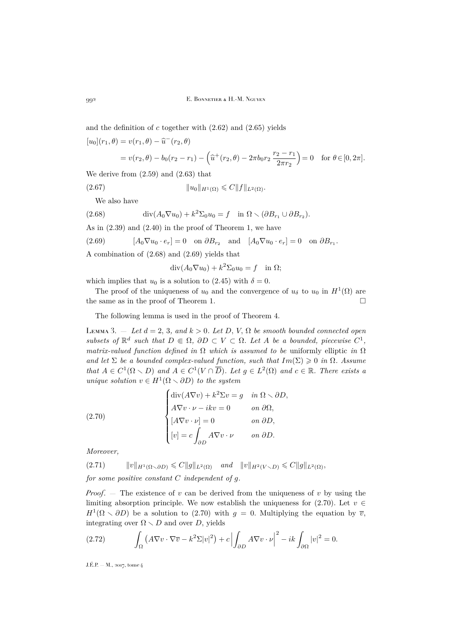and the definition of  $c$  together with  $(2.62)$  and  $(2.65)$  yields

 $[u_0](r_1, \theta) = v(r_1, \theta) - \hat{u}^-(r_2, \theta)$ 

$$
= v(r_2, \theta) - b_0(r_2 - r_1) - \left(\hat{u}^+(r_2, \theta) - 2\pi b_0 r_2 \frac{r_2 - r_1}{2\pi r_2}\right) = 0 \text{ for } \theta \in [0, 2\pi].
$$

We derive from [\(2.59\)](#page-19-3) and [\(2.63\)](#page-19-4) that

(2.67) 
$$
||u_0||_{H^1(\Omega)} \leqslant C||f||_{L^2(\Omega)}.
$$

<span id="page-20-1"></span>We also have

(2.68) 
$$
\operatorname{div}(A_0 \nabla u_0) + k^2 \Sigma_0 u_0 = f \quad \text{in } \Omega \setminus (\partial B_{r_1} \cup \partial B_{r_2}).
$$

As in [\(2.39\)](#page-15-1) and [\(2.40\)](#page-15-2) in the proof of Theorem [1,](#page-7-0) we have

<span id="page-20-2"></span>(2.69) 
$$
[A_0 \nabla u_0 \cdot e_r] = 0 \text{ on } \partial B_{r_2} \text{ and } [A_0 \nabla u_0 \cdot e_r] = 0 \text{ on } \partial B_{r_1}.
$$

A combination of [\(2.68\)](#page-20-1) and [\(2.69\)](#page-20-2) yields that

 $\operatorname{div}(A_0 \nabla u_0) + k^2 \Sigma_0 u_0 = f \text{ in } \Omega;$ 

which implies that  $u_0$  is a solution to [\(2.45\)](#page-16-1) with  $\delta = 0$ .

The proof of the uniqueness of  $u_0$  and the convergence of  $u_\delta$  to  $u_0$  in  $H^1(\Omega)$  are the same as in the proof of Theorem [1.](#page-7-0)

The following lemma is used in the proof of Theorem [4.](#page-18-0)

<span id="page-20-0"></span>LEMMA 3.  $-$  *Let*  $d = 2, 3$ *, and*  $k > 0$ *. Let*  $D, V, \Omega$  *be smooth bounded connected open subsets of*  $\mathbb{R}^d$  *such that*  $D \in \Omega$ ,  $\partial D \subset V \subset \Omega$ . Let A be a bounded, piecewise  $C^1$ , *matrix-valued function defined in*  $\Omega$  *which is assumed to be* uniformly elliptic *in*  $\Omega$ *and let*  $\Sigma$  *be a bounded complex-valued function, such that*  $Im(\Sigma) \geq 0$  *in*  $\Omega$ *. Assume that*  $A \in C^1(\Omega \setminus D)$  *and*  $A \in C^1(V \cap \overline{D})$ *. Let*  $g \in L^2(\Omega)$  *and*  $c \in \mathbb{R}$ *. There exists a unique solution*  $v \in H^1(\Omega \setminus \partial D)$  *to the system* 

<span id="page-20-3"></span>(2.70)  

$$
\begin{cases}\n\text{div}(A\nabla v) + k^2 \Sigma v = g & \text{in } \Omega \setminus \partial D, \\
A\nabla v \cdot \nu - ikv = 0 & \text{on } \partial \Omega, \\
[A\nabla v \cdot \nu] = 0 & \text{on } \partial D, \\
[v] = c \int_{\partial D} A\nabla v \cdot \nu & \text{on } \partial D.\n\end{cases}
$$

*Moreover,*

<span id="page-20-4"></span> $(2.71)$   $||v||_{H^1(\Omega \setminus \partial D)} \leq C||g||_{L^2(\Omega)}$  *and*  $||v||_{H^2(V \setminus D)} \leq C||g||_{L^2(\Omega)}$ , *for some positive constant* C *independent of* g*.*

*Proof.*  $-$  The existence of v can be derived from the uniqueness of v by using the limiting absorption principle. We now establish the uniqueness for [\(2.70\)](#page-20-3). Let  $v \in$  $H^1(\Omega \setminus \partial D)$  be a solution to [\(2.70\)](#page-20-3) with  $g = 0$ . Multiplying the equation by  $\overline{v}$ , integrating over  $\Omega \setminus D$  and over D, yields

<span id="page-20-5"></span>(2.72) 
$$
\int_{\Omega} \left( A \nabla v \cdot \nabla \overline{v} - k^2 \Sigma |v|^2 \right) + c \left| \int_{\partial D} A \nabla v \cdot \nu \right|^2 - ik \int_{\partial \Omega} |v|^2 = 0.
$$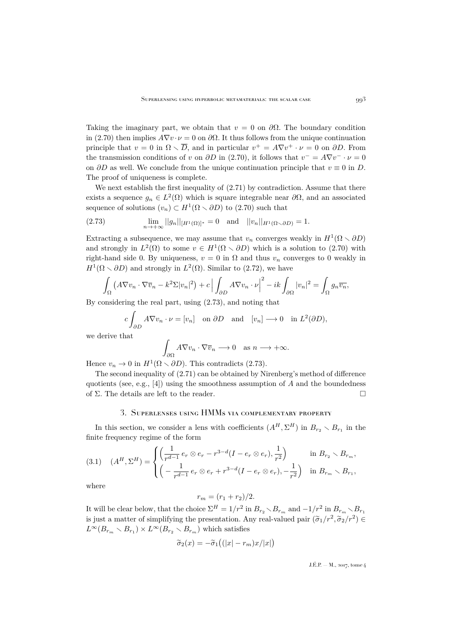Taking the imaginary part, we obtain that  $v = 0$  on  $\partial\Omega$ . The boundary condition in [\(2.70\)](#page-20-3) then implies  $A\nabla v \cdot \nu = 0$  on  $\partial \Omega$ . It thus follows from the unique continuation principle that  $v = 0$  in  $\Omega \setminus \overline{D}$ , and in particular  $v^+ = A \nabla v^+ \cdot \nu = 0$  on  $\partial D$ . From the transmission conditions of v on  $\partial D$  in [\(2.70\)](#page-20-3), it follows that  $v^- = A \nabla v^- \cdot \nu = 0$ on  $\partial D$  as well. We conclude from the unique continuation principle that  $v \equiv 0$  in D. The proof of uniqueness is complete.

We next establish the first inequality of  $(2.71)$  by contradiction. Assume that there exists a sequence  $g_n \in L^2(\Omega)$  which is square integrable near  $\partial\Omega$ , and an associated sequence of solutions  $(v_n) \subset H^1(\Omega \setminus \partial D)$  to  $(2.70)$  such that

<span id="page-21-1"></span>(2.73) 
$$
\lim_{n \to +\infty} ||g_n||_{[H^1(\Omega)]^*} = 0 \text{ and } ||v_n||_{H^1(\Omega \setminus \partial D)} = 1.
$$

Extracting a subsequence, we may assume that  $v_n$  converges weakly in  $H^1(\Omega \setminus \partial D)$ and strongly in  $L^2(\Omega)$  to some  $v \in H^1(\Omega \setminus \partial D)$  which is a solution to [\(2.70\)](#page-20-3) with right-hand side 0. By uniqueness,  $v = 0$  in  $\Omega$  and thus  $v_n$  converges to 0 weakly in  $H^1(\Omega \setminus \partial D)$  and strongly in  $L^2(\Omega)$ . Similar to [\(2.72\)](#page-20-5), we have

$$
\int_{\Omega} \left( A \nabla v_n \cdot \nabla \overline{v}_n - k^2 \Sigma |v_n|^2 \right) + c \left| \int_{\partial D} A \nabla v_n \cdot \nu \right|^2 - ik \int_{\partial \Omega} |v_n|^2 = \int_{\Omega} g_n \overline{v_n},
$$

By considering the real part, using [\(2.73\)](#page-21-1), and noting that

$$
c \int_{\partial D} A \nabla v_n \cdot \nu = [v_n] \quad \text{on } \partial D \quad \text{and} \quad [v_n] \longrightarrow 0 \quad \text{in } L^2(\partial D),
$$

we derive that

$$
\int_{\partial\Omega} A \nabla v_n \cdot \nabla \overline{v}_n \longrightarrow 0 \quad \text{as } n \longrightarrow +\infty.
$$

Hence  $v_n \to 0$  in  $H^1(\Omega \setminus \partial D)$ . This contradicts [\(2.73\)](#page-21-1).

The second inequality of [\(2.71\)](#page-20-4) can be obtained by Nirenberg's method of difference quotients (see, e.g., [\[4\]](#page-30-23)) using the smoothness assumption of  $A$  and the boundedness of Σ. The details are left to the reader.  $\Box$ 

### 3. Superlenses using HMMs via complementary property

<span id="page-21-0"></span>In this section, we consider a lens with coefficients  $(A^H, \Sigma^H)$  in  $B_{r_2} \setminus B_{r_1}$  in the finite frequency regime of the form

<span id="page-21-2"></span>
$$
(3.1) \quad (A^H, \Sigma^H) = \begin{cases} \left(\frac{1}{r^{d-1}} e_r \otimes e_r - r^{3-d} (I - e_r \otimes e_r), \frac{1}{r^2}\right) & \text{in } B_{r_2} \setminus B_{r_m}, \\ \left(-\frac{1}{r^{d-1}} e_r \otimes e_r + r^{3-d} (I - e_r \otimes e_r), -\frac{1}{r^2}\right) & \text{in } B_{r_m} \setminus B_{r_1}, \end{cases}
$$

where

$$
r_m = (r_1 + r_2)/2.
$$

It will be clear below, that the choice  $\Sigma^H = 1/r^2$  in  $B_{r_2} \setminus B_{r_m}$  and  $-1/r^2$  in  $B_{r_m} \setminus B_{r_1}$ is just a matter of simplifying the presentation. Any real-valued pair  $(\tilde{\sigma}_1/r^2, \tilde{\sigma}_2/r^2) \in L^{\infty}(R_1, \ldots, R_n) \times L^{\infty}(R_2, \ldots, R_n)$  which estings  $L^{\infty}(B_{r_m} \setminus B_{r_1}) \times L^{\infty}(B_{r_2} \setminus B_{r_m})$  which satisfies

$$
\widetilde{\sigma}_2(x) = -\widetilde{\sigma}_1((|x| - r_m)x/|x|)
$$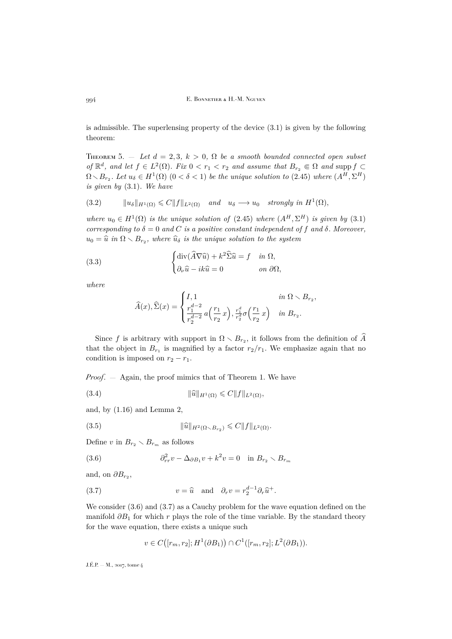is admissible. The superlensing property of the device [\(3.1\)](#page-21-2) is given by the following theorem:

<span id="page-22-0"></span>THEOREM 5.  $-$  *Let*  $d = 2, 3, k > 0, \Omega$  *be a smooth bounded connected open subset of*  $\mathbb{R}^d$ *, and let*  $f \in L^2(\Omega)$ *. Fix*  $0 < r_1 < r_2$  *and assume that*  $B_{r_2} \in \Omega$  *and* supp  $f \subset$  $\Omega \setminus B_{r_2}$ . Let  $u_{\delta} \in H^1(\Omega)$   $(0 < \delta < 1)$  be the unique solution to [\(2.45\)](#page-16-1) where  $(A^H, \Sigma^H)$ *is given by* [\(3.1\)](#page-21-2)*. We have*

<span id="page-22-6"></span>(3.2) 
$$
\|u_{\delta}\|_{H^{1}(\Omega)} \leqslant C \|f\|_{L^{2}(\Omega)} \quad \text{and} \quad u_{\delta} \longrightarrow u_{0} \quad \text{strongly in } H^{1}(\Omega),
$$

where  $u_0 \in H^1(\Omega)$  *is the unique solution of* [\(2.45\)](#page-16-1) *where*  $(A^H, \Sigma^H)$  *is given by* [\(3.1\)](#page-21-2) *corresponding to*  $\delta = 0$  *and* C *is a positive constant independent of* f *and*  $\delta$ *. Moreover,*  $u_0 = \hat{u}$  in  $\Omega \setminus B_{r_2}$ , where  $\hat{u}_\delta$  is the unique solution to the system

(3.3) 
$$
\begin{cases} \text{div}(\widehat{A}\nabla \widehat{u}) + k^2 \widehat{\Sigma} \widehat{u} = f & \text{in } \Omega, \\ \partial_{\nu} \widehat{u} - ik \widehat{u} = 0 & \text{on } \partial \Omega, \end{cases}
$$

*where*

<span id="page-22-5"></span>
$$
\widehat{A}(x), \widehat{\Sigma}(x) = \begin{cases} I, 1 & \text{in } \Omega \setminus B_{r_2}, \\ \frac{r_1^{d-2}}{r_2^{d-2}} a\left(\frac{r_1}{r_2}x\right), \frac{r_1^d}{r_2^d} \sigma\left(\frac{r_1}{r_2}x\right) & \text{in } B_{r_2}. \end{cases}
$$

Since f is arbitrary with support in  $\Omega \setminus B_{r_2}$ , it follows from the definition of  $\widehat{A}$ that the object in  $B_{r_1}$  is magnified by a factor  $r_2/r_1$ . We emphasize again that no condition is imposed on  $r_2 - r_1$ .

*Proof*. — Again, the proof mimics that of Theorem [1.](#page-7-0) We have

<span id="page-22-3"></span>(3.4) 
$$
\|\widehat{u}\|_{H^1(\Omega)} \leq C \|f\|_{L^2(\Omega)},
$$

and, by  $(1.16)$  and Lemma [2,](#page-10-2)

<span id="page-22-4"></span>(3.5) 
$$
\|\widehat{u}\|_{H^2(\Omega \setminus B_{r_2})} \leq C \|f\|_{L^2(\Omega)}.
$$

Define v in  $B_{r_2} \setminus B_{r_m}$  as follows

<span id="page-22-1"></span>(3.6) 
$$
\partial_{rr}^2 v - \Delta_{\partial B_1} v + k^2 v = 0 \quad \text{in } B_{r_2} \setminus B_{r_m}
$$

and, on  $\partial B_{r_2}$ ,

(3.7) 
$$
v = \widehat{u} \text{ and } \partial_r v = r_2^{d-1} \partial_r \widehat{u}^+.
$$

We consider [\(3.6\)](#page-22-1) and [\(3.7\)](#page-22-2) as a Cauchy problem for the wave equation defined on the manifold  $\partial B_1$  for which r plays the role of the time variable. By the standard theory for the wave equation, there exists a unique such

<span id="page-22-2"></span>
$$
v \in C([r_m, r_2]; H^1(\partial B_1)) \cap C^1([r_m, r_2]; L^2(\partial B_1)).
$$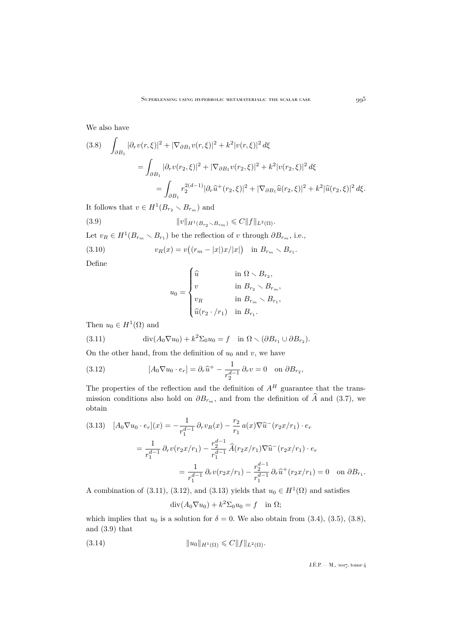We also have

<span id="page-23-3"></span>
$$
(3.8) \quad \int_{\partial B_1} |\partial_r v(r,\xi)|^2 + |\nabla_{\partial B_1} v(r,\xi)|^2 + k^2 |v(r,\xi)|^2 d\xi
$$
  

$$
= \int_{\partial B_1} |\partial_r v(r_2,\xi)|^2 + |\nabla_{\partial B_1} v(r_2,\xi)|^2 + k^2 |v(r_2,\xi)|^2 d\xi
$$
  

$$
= \int_{\partial B_1} r_2^{2(d-1)} |\partial_r \widehat{u}^+(r_2,\xi)|^2 + |\nabla_{\partial B_1} \widehat{u}(r_2,\xi)|^2 + k^2 |\widehat{u}(r_2,\xi)|^2 d\xi.
$$

It follows that  $v \in H^1(B_{r_2} \setminus B_{r_m})$  and

(3.9) 
$$
||v||_{H^1(B_{r_2} \setminus B_{r_m})} \leqslant C ||f||_{L^2(\Omega)}.
$$

Let  $v_R \in H^1(B_{r_m} \setminus B_{r_1})$  be the reflection of v through  $\partial B_{r_m}$ , i.e.,

(3.10) 
$$
v_R(x) = v((r_m - |x|)x/|x|) \text{ in } B_{r_m} \setminus B_{r_1}
$$

Define

<span id="page-23-4"></span>
$$
u_0 = \begin{cases} \widehat{u} & \text{in } \Omega \setminus B_{r_2}, \\ v & \text{in } B_{r_2} \setminus B_{r_m}, \\ v_R & \text{in } B_{r_m} \setminus B_{r_1}, \\ \widehat{u}(r_2 \cdot / r_1) & \text{in } B_{r_1}. \end{cases}
$$

.

Then  $u_0 \in H^1(\Omega)$  and

<span id="page-23-0"></span>(3.11) 
$$
\operatorname{div}(A_0 \nabla u_0) + k^2 \Sigma_0 u_0 = f \quad \text{in } \Omega \setminus (\partial B_{r_1} \cup \partial B_{r_2}).
$$

On the other hand, from the definition of  $u_0$  and v, we have

<span id="page-23-1"></span>(3.12) 
$$
[A_0 \nabla u_0 \cdot e_r] = \partial_r \widehat{u}^+ - \frac{1}{r_2^{d-1}} \partial_r v = 0 \text{ on } \partial B_{r_2},
$$

The properties of the reflection and the definition of  $A<sup>H</sup>$  guarantee that the transmission conditions also hold on  $\partial B_{r_m}$ , and from the definition of  $\hat{A}$  and [\(3.7\)](#page-22-2), we obtain

<span id="page-23-2"></span>
$$
(3.13) \quad [A_0 \nabla u_0 \cdot e_r](x) = -\frac{1}{r_1^{d-1}} \partial_r v_R(x) - \frac{r_2}{r_1} a(x) \nabla \hat{u}^-(r_2 x/r_1) \cdot e_r
$$
\n
$$
= \frac{1}{r_1^{d-1}} \partial_r v(r_2 x/r_1) - \frac{r_2^{d-1}}{r_1^{d-1}} \hat{A}(r_2 x/r_1) \nabla \hat{u}^-(r_2 x/r_1) \cdot e_r
$$
\n
$$
= \frac{1}{r_1^{d-1}} \partial_r v(r_2 x/r_1) - \frac{r_2^{d-1}}{r_1^{d-1}} \partial_r \hat{u}^+(r_2 x/r_1) = 0 \quad \text{on } \partial B_{r_1}.
$$

A combination of [\(3.11\)](#page-23-0), [\(3.12\)](#page-23-1), and [\(3.13\)](#page-23-2) yields that  $u_0 \in H^1(\Omega)$  and satisfies

<span id="page-23-5"></span> $\operatorname{div}(A_0 \nabla u_0) + k^2 \Sigma_0 u_0 = f \text{ in } \Omega;$ 

which implies that  $u_0$  is a solution for  $\delta = 0$ . We also obtain from [\(3.4\)](#page-22-3), [\(3.5\)](#page-22-4), [\(3.8\)](#page-23-3), and [\(3.9\)](#page-23-4) that

(3.14) 
$$
||u_0||_{H^1(\Omega)} \leqslant C||f||_{L^2(\Omega)}.
$$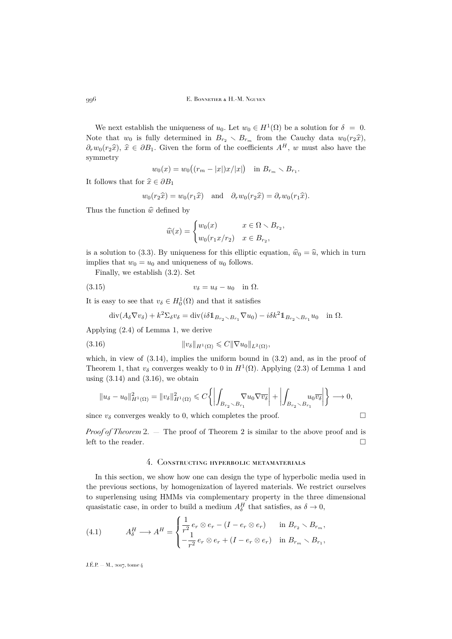We next establish the uniqueness of  $u_0$ . Let  $w_0 \in H^1(\Omega)$  be a solution for  $\delta = 0$ . Note that  $w_0$  is fully determined in  $B_{r_2} \setminus B_{r_m}$  from the Cauchy data  $w_0(r_2\hat{x})$ ,  $\partial_r w_0(r_2\hat{x}), \hat{x} \in \partial B_1$ . Given the form of the coefficients  $A^H$ , w must also have the symmetry

$$
w_0(x) = w_0((r_m - |x|)x/|x|)
$$
 in  $B_{r_m} \setminus B_{r_1}$ .

It follows that for  $\hat{x} \in \partial B_1$ 

$$
w_0(r_2\hat{x}) = w_0(r_1\hat{x})
$$
 and  $\partial_r w_0(r_2\hat{x}) = \partial_r w_0(r_1\hat{x}).$ 

Thus the function  $\hat{w}$  defined by

$$
\widehat{w}(x) = \begin{cases} w_0(x) & x \in \Omega \setminus B_{r_2}, \\ w_0(r_1 x/r_2) & x \in B_{r_2}, \end{cases}
$$

is a solution to [\(3.3\)](#page-22-5). By uniqueness for this elliptic equation,  $\hat{w}_0 = \hat{u}$ , which in turn implies that  $w_0 = u_0$  and uniqueness of  $u_0$  follows.

Finally, we establish [\(3.2\)](#page-22-6). Set

$$
(3.15) \t\t v\delta = u\delta - u0 \t in  $\Omega$ .
$$

It is easy to see that  $v_{\delta} \in H_0^1(\Omega)$  and that it satisfies

<span id="page-24-1"></span>
$$
\operatorname{div}(A_{\delta}\nabla v_{\delta}) + k^2 \Sigma_{\delta} v_{\delta} = \operatorname{div}(i\delta 1_{B_{r_2} \setminus B_{r_1}} \nabla u_0) - i\delta k^2 1_{B_{r_2} \setminus B_{r_1}} u_0 \quad \text{in } \Omega.
$$

Applying [\(2.4\)](#page-9-4) of Lemma [1,](#page-8-1) we derive

$$
(3.16) \t\t\t\t ||v_{\delta}||_{H^1(\Omega)} \leqslant C ||\nabla u_0||_{L^2(\Omega)},
$$

which, in view of  $(3.14)$ , implies the uniform bound in  $(3.2)$  and, as in the proof of Theorem [1,](#page-7-0) that  $v_{\delta}$  converges weakly to 0 in  $H^1(\Omega)$  $H^1(\Omega)$  $H^1(\Omega)$ . Applying [\(2.3\)](#page-8-3) of Lemma 1 and using  $(3.14)$  and  $(3.16)$ , we obtain

$$
||u_{\delta}-u_0||_{H^1(\Omega)}^2=||v_{\delta}||_{H^1(\Omega)}^2 \leqslant C\left\{ \left| \int_{B_{r_2}\setminus B_{r_1}} \nabla u_0 \nabla \overline{v_{\delta}} \right| + \left| \int_{B_{r_2}\setminus B_{r_1}} u_0 \overline{v_{\delta}} \right| \right\} \longrightarrow 0,
$$

since  $v_{\delta}$  converges weakly to 0, which completes the proof.

*Proof of Theorem* [2.](#page-7-1) — The proof of Theorem [2](#page-7-1) is similar to the above proof and is left to the reader.  $\hfill \square$ 

## 4. Constructing hyperbolic metamaterials

<span id="page-24-0"></span>In this section, we show how one can design the type of hyperbolic media used in the previous sections, by homogenization of layered materials. We restrict ourselves to superlensing using HMMs via complementary property in the three dimensional quasistatic case, in order to build a medium  $A_{\delta}^H$  that satisfies, as  $\delta \to 0$ ,

(4.1) 
$$
A_{\delta}^H \longrightarrow A^H = \begin{cases} \frac{1}{r^2} e_r \otimes e_r - (I - e_r \otimes e_r) & \text{in } B_{r_2} \setminus B_{r_m}, \\ -\frac{1}{r^2} e_r \otimes e_r + (I - e_r \otimes e_r) & \text{in } B_{r_m} \setminus B_{r_1}, \end{cases}
$$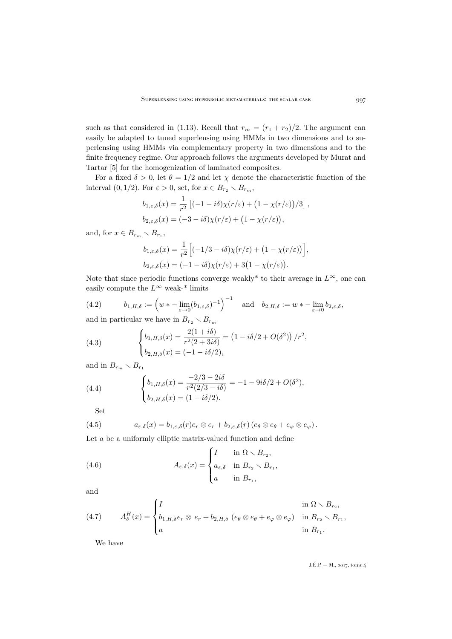such as that considered in [\(1.13\)](#page-5-0). Recall that  $r_m = (r_1 + r_2)/2$ . The argument can easily be adapted to tuned superlensing using HMMs in two dimensions and to superlensing using HMMs via complementary property in two dimensions and to the finite frequency regime. Our approach follows the arguments developed by Murat and Tartar [\[5\]](#page-30-25) for the homogenization of laminated composites.

For a fixed  $\delta > 0$ , let  $\theta = 1/2$  and let  $\chi$  denote the characteristic function of the interval  $(0, 1/2)$ . For  $\varepsilon > 0$ , set, for  $x \in B_{r_2} \setminus B_{r_m}$ ,

$$
b_{1,\varepsilon,\delta}(x) = \frac{1}{r^2} \left[ (-1 - i\delta) \chi(r/\varepsilon) + (1 - \chi(r/\varepsilon))/3 \right],
$$
  

$$
b_{2,\varepsilon,\delta}(x) = (-3 - i\delta) \chi(r/\varepsilon) + (1 - \chi(r/\varepsilon)),
$$

and, for  $x \in B_{r_m} \setminus B_{r_1}$ ,

$$
b_{1,\varepsilon,\delta}(x) = \frac{1}{r^2} \Big[ (-1/3 - i\delta) \chi(r/\varepsilon) + \big( 1 - \chi(r/\varepsilon) \big) \Big],
$$
  

$$
b_{2,\varepsilon,\delta}(x) = (-1 - i\delta) \chi(r/\varepsilon) + 3\big( 1 - \chi(r/\varepsilon) \big).
$$

Note that since periodic functions converge weakly<sup>\*</sup> to their average in  $L^{\infty}$ , one can easily compute the  $L^{\infty}$  weak-\* limits

(4.2) 
$$
b_{1,H,\delta} := \left(w * - \lim_{\varepsilon \to 0} (b_{1,\varepsilon,\delta})^{-1}\right)^{-1} \text{ and } b_{2,H,\delta} := w * - \lim_{\varepsilon \to 0} b_{2,\varepsilon,\delta},
$$

and in particular we have in  $B_{r_2} \setminus B_{r_m}$ 

<span id="page-25-3"></span>(4.3) 
$$
\begin{cases} b_{1,H,\delta}(x) = \frac{2(1+i\delta)}{r^2(2+3i\delta)} = (1-i\delta/2 + O(\delta^2)) / r^2, \\ b_{2,H,\delta}(x) = (-1-i\delta/2), \end{cases}
$$

and in  $B_{r_m} \setminus B_{r_1}$ 

<span id="page-25-4"></span>(4.4) 
$$
\begin{cases} b_{1,H,\delta}(x) = \frac{-2/3 - 2i\delta}{r^2(2/3 - i\delta)} = -1 - 9i\delta/2 + O(\delta^2), \\ b_{2,H,\delta}(x) = (1 - i\delta/2). \end{cases}
$$

<span id="page-25-2"></span>Set

(4.5) 
$$
a_{\varepsilon,\delta}(x) = b_{1,\varepsilon,\delta}(r)e_r \otimes e_r + b_{2,\varepsilon,\delta}(r)(e_{\theta} \otimes e_{\theta} + e_{\varphi} \otimes e_{\varphi}).
$$

Let  $a$  be a uniformly elliptic matrix-valued function and define

<span id="page-25-0"></span>(4.6) 
$$
A_{\varepsilon,\delta}(x) = \begin{cases} I & \text{in } \Omega \setminus B_{r_2}, \\ a_{\varepsilon,\delta} & \text{in } B_{r_2} \setminus B_{r_1}, \\ a & \text{in } B_{r_1}, \end{cases}
$$

and

<span id="page-25-1"></span>(4.7) 
$$
A_{\delta}^{H}(x) = \begin{cases} I & \text{in } \Omega \setminus B_{r_2}, \\ b_{1,H,\delta}e_r \otimes e_r + b_{2,H,\delta} & (e_{\theta} \otimes e_{\theta} + e_{\varphi} \otimes e_{\varphi}) & \text{in } B_{r_2} \setminus B_{r_1}, \\ a & \text{in } B_{r_1}. \end{cases}
$$

We have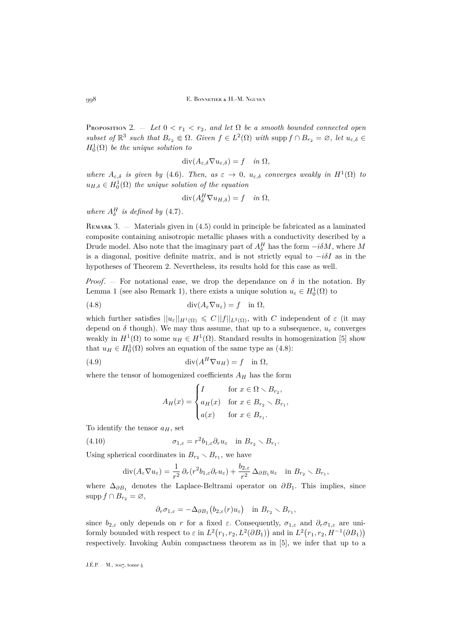PROPOSITION 2.  $-$  *Let*  $0 < r_1 < r_2$ , and let  $\Omega$  be a smooth bounded connected open *subset of*  $\mathbb{R}^3$  *such that*  $B_{r_2} \in \Omega$ *. Given*  $f \in L^2(\Omega)$  *with* supp  $f \cap B_{r_2} = \emptyset$ *, let*  $u_{\varepsilon,\delta} \in$  $H_0^1(\Omega)$  *be the unique solution to* 

$$
\operatorname{div}(A_{\varepsilon,\delta} \nabla u_{\varepsilon,\delta}) = f \quad \text{in } \Omega,
$$

*where*  $A_{\varepsilon,\delta}$  *is given by* [\(4.6\)](#page-25-0)*. Then, as*  $\varepsilon \to 0$ *,*  $u_{\varepsilon,\delta}$  *converges weakly in*  $H^1(\Omega)$  *to*  $u_{H,\delta} \in H_0^1(\Omega)$  the unique solution of the equation

$$
\operatorname{div}(A_{\delta}^H \nabla u_{H,\delta}) = f \quad \text{in } \Omega,
$$

*where*  $A_{\delta}^H$  *is defined by* [\(4.7\)](#page-25-1)*.* 

REMARK 3. — Materials given in  $(4.5)$  could in principle be fabricated as a laminated composite containing anisotropic metallic phases with a conductivity described by a Drude model. Also note that the imaginary part of  $A_{\delta}^H$  has the form  $-i\delta M$ , where M is a diagonal, positive definite matrix, and is not strictly equal to  $-i\delta I$  as in the hypotheses of Theorem [2.](#page-7-1) Nevertheless, its results hold for this case as well.

*Proof.* – For notational ease, we drop the dependance on  $\delta$  in the notation. By Lemma [1](#page-8-1) (see also Remark [1\)](#page-10-3), there exists a unique solution  $u_{\varepsilon} \in H_0^1(\Omega)$  to

(4.8) 
$$
\operatorname{div}(A_{\varepsilon} \nabla u_{\varepsilon}) = f \quad \text{in } \Omega,
$$

which further satisfies  $||u_{\varepsilon}||_{H^1(\Omega)} \leq C ||f||_{L^2(\Omega)}$ , with C independent of  $\varepsilon$  (it may depend on  $\delta$  though). We may thus assume, that up to a subsequence,  $u_{\epsilon}$  converges weakly in  $H^1(\Omega)$  to some  $u_H \in H^1(\Omega)$ . Standard results in homogenization [\[5\]](#page-30-25) show that  $u_H \in H_0^1(\Omega)$  solves an equation of the same type as [\(4.8\)](#page-26-0):

(4.9) 
$$
\operatorname{div}(A^H \nabla u_H) = f \quad \text{in } \Omega,
$$

where the tensor of homogenized coefficients  $A_H$  has the form

<span id="page-26-1"></span><span id="page-26-0"></span>
$$
A_H(x) = \begin{cases} I & \text{for } x \in \Omega \setminus B_{r_2}, \\ a_H(x) & \text{for } x \in B_{r_2} \setminus B_{r_1}, \\ a(x) & \text{for } x \in B_{r_1}. \end{cases}
$$

To identify the tensor  $a_H$ , set

(4.10) 
$$
\sigma_{1,\varepsilon} = r^2 b_{1,\varepsilon} \partial_r u_\varepsilon \quad \text{in } B_{r_2} \setminus B_{r_1}.
$$

Using spherical coordinates in  $B_{r_2} \setminus B_{r_1}$ , we have

$$
\operatorname{div}(A_{\varepsilon} \nabla u_{\varepsilon}) = \frac{1}{r^2} \partial_r (r^2 b_{1,\varepsilon} \partial_r u_{\varepsilon}) + \frac{b_{2,\varepsilon}}{r^2} \Delta_{\partial B_1} u_{\varepsilon} \quad \text{in } B_{r_2} \setminus B_{r_1},
$$

where  $\Delta_{\partial B_1}$  denotes the Laplace-Beltrami operator on  $\partial B_1$ . This implies, since  $\mathrm{supp} f \cap B_{r_2} = \varnothing,$ 

$$
\partial_r \sigma_{1,\varepsilon} = -\Delta_{\partial B_1} (b_{2,\varepsilon}(r) u_\varepsilon) \quad \text{in } B_{r_2} \setminus B_{r_1},
$$

since  $b_{2,\varepsilon}$  only depends on r for a fixed  $\varepsilon$ . Consequently,  $\sigma_{1,\varepsilon}$  and  $\partial_r \sigma_{1,\varepsilon}$  are uniformly bounded with respect to  $\varepsilon$  in  $L^2(r_1, r_2, L^2(\partial B_1))$  and in  $L^2(r_1, r_2, H^{-1}(\partial B_1))$ respectively. Invoking Aubin compactness theorem as in [\[5\]](#page-30-25), we infer that up to a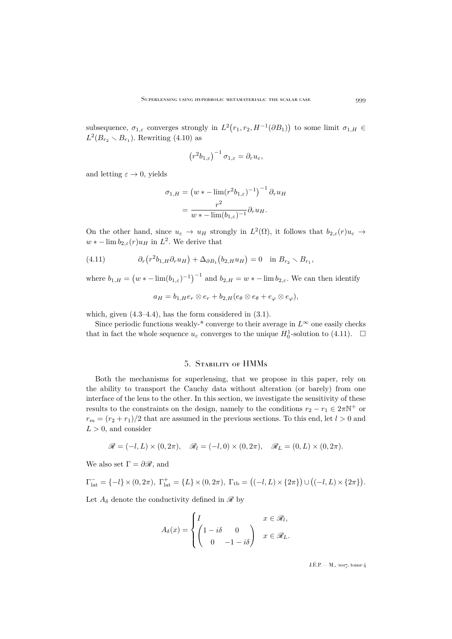subsequence,  $\sigma_{1,\varepsilon}$  converges strongly in  $L^2(r_1,r_2,H^{-1}(\partial B_1))$  to some limit  $\sigma_{1,H}$  $L^2(B_{r_2} \setminus B_{r_1})$ . Rewriting [\(4.10\)](#page-26-1) as

$$
\left(r^2b_{1,\varepsilon}\right)^{-1}\sigma_{1,\varepsilon}=\partial_ru_\varepsilon,
$$

and letting  $\varepsilon \to 0$ , yields

$$
\sigma_{1,H} = \left(w * - \lim(r^2 b_{1,\varepsilon})^{-1}\right)^{-1} \partial_r u_H
$$

$$
= \frac{r^2}{w * - \lim(b_{1,\varepsilon})^{-1}} \partial_r u_H.
$$

On the other hand, since  $u_{\varepsilon} \to u_H$  strongly in  $L^2(\Omega)$ , it follows that  $b_{2,\varepsilon}(r)u_{\varepsilon} \to$  $w * - \lim b_{2,\varepsilon}(r) u_H$  in  $L^2$ . We derive that

(4.11) 
$$
\partial_r (r^2 b_{1,H} \partial_r u_H) + \Delta_{\partial B_1} (b_{2,H} u_H) = 0 \text{ in } B_{r_2} \setminus B_{r_1},
$$

where  $b_{1,H} = (w * - \lim_{h \to \infty} (b_{1,\varepsilon})^{-1})^{-1}$  and  $b_{2,H} = w * - \lim_{h \to \infty} b_{2,\varepsilon}$ . We can then identify

<span id="page-27-1"></span>
$$
a_H = b_{1,H}e_r \otimes e_r + b_{2,H}(e_{\theta} \otimes e_{\theta} + e_{\varphi} \otimes e_{\varphi}),
$$

which, given  $(4.3-4.4)$  $(4.3-4.4)$ , has the form considered in  $(3.1)$ .

Since periodic functions weakly-\* converge to their average in  $L^{\infty}$  one easily checks that in fact the whole sequence  $u_{\varepsilon}$  converges to the unique  $H_0^1$ -solution to [\(4.11\)](#page-27-1).  $\Box$ 

## 5. Stability of HMMs

<span id="page-27-0"></span>Both the mechanisms for superlensing, that we propose in this paper, rely on the ability to transport the Cauchy data without alteration (or barely) from one interface of the lens to the other. In this section, we investigate the sensitivity of these results to the constraints on the design, namely to the conditions  $r_2 - r_1 \in 2\pi N^+$  or  $r_m = (r_2 + r_1)/2$  that are assumed in the previous sections. To this end, let  $l > 0$  and  $L > 0$ , and consider

$$
\mathscr{R} = (-l, L) \times (0, 2\pi), \quad \mathscr{R}_l = (-l, 0) \times (0, 2\pi), \quad \mathscr{R}_L = (0, L) \times (0, 2\pi).
$$

We also set  $\Gamma = \partial \mathcal{R}$ , and

$$
\Gamma_{\text{lat}}^- = \{-l\} \times (0, 2\pi), \ \Gamma_{\text{lat}}^+ = \{L\} \times (0, 2\pi), \ \Gamma_{\text{tb}} = \big((-l, L) \times \{2\pi\}\big) \cup \big((-l, L) \times \{2\pi\}\big).
$$

Let  $A_{\delta}$  denote the conductivity defined in  $\mathscr{R}$  by

$$
A_{\delta}(x) = \begin{cases} I & x \in \mathcal{R}_l, \\ \begin{pmatrix} 1 - i\delta & 0 \\ 0 & -1 - i\delta \end{pmatrix} & x \in \mathcal{R}_L. \end{cases}
$$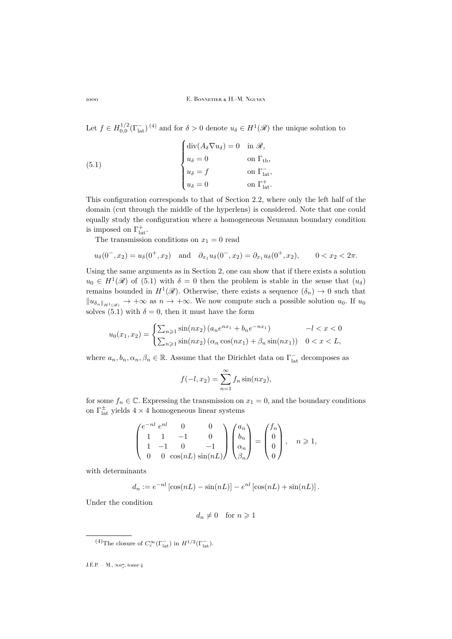Let  $f \in H_{0,0}^{1/2}(\Gamma_{\text{lat}}^{-})^{(4)}$  and for  $\delta > 0$  denote  $u_{\delta} \in H^{1}(\mathscr{R})$  the unique solution to

<span id="page-28-0"></span>(5.1) 
$$
\begin{cases} \operatorname{div}(A_{\delta} \nabla u_{\delta}) = 0 & \text{in } \mathcal{R}, \\ u_{\delta} = 0 & \text{on } \Gamma_{\text{tb}}, \\ u_{\delta} = f & \text{on } \Gamma_{\text{lat}}^{-1}, \\ u_{\delta} = 0 & \text{on } \Gamma_{\text{lat}}^{+} .\end{cases}
$$

This configuration corresponds to that of Section [2.2,](#page-10-4) where only the left half of the domain (cut through the middle of the hyperlens) is considered. Note that one could equally study the configuration where a homogeneous Neumann boundary condition is imposed on  $\Gamma_{\text{lat}}^{+}$ .

The transmission conditions on  $x_1 = 0$  read

$$
u_{\delta}(0^-, x_2) = u_{\delta}(0^+, x_2)
$$
 and  $\partial_{x_1}u_{\delta}(0^-, x_2) = \partial_{x_1}u_{\delta}(0^+, x_2)$ ,  $0 < x_2 < 2\pi$ .

Using the same arguments as in Section [2,](#page-8-0) one can show that if there exists a solution  $u_0 \in H^1(\mathcal{R})$  of [\(5.1\)](#page-28-0) with  $\delta = 0$  then the problem is stable in the sense that  $(u_\delta)$ remains bounded in  $H^1(\mathscr{R})$ . Otherwise, there exists a sequence  $(\delta_n) \to 0$  such that  $||u_{\delta_n}||_{H^1(\mathscr{R})} \to +\infty$  as  $n \to +\infty$ . We now compute such a possible solution  $u_0$ . If  $u_0$ solves [\(5.1\)](#page-28-0) with  $\delta = 0$ , then it must have the form

$$
u_0(x_1, x_2) = \begin{cases} \sum_{n \geq 1} \sin(nx_2) (a_n e^{nx_1} + b_n e^{-nx_1}) & -l < x < 0\\ \sum_{n \geq 1} \sin(nx_2) (a_n \cos(nx_1) + \beta_n \sin(nx_1)) & 0 < x < L, \end{cases}
$$

where  $a_n, b_n, \alpha_n, \beta_n \in \mathbb{R}$ . Assume that the Dirichlet data on  $\Gamma_{\text{lat}}^-$  decomposes as

$$
f(-l, x_2) = \sum_{n=1}^{\infty} f_n \sin(nx_2),
$$

for some  $f_n \in \mathbb{C}$ . Expressing the transmission on  $x_1 = 0$ , and the boundary conditions on  $\Gamma^{\pm}_{\text{lat}}$  yields  $4 \times 4$  homogeneous linear systems

$$
\begin{pmatrix} e^{-nl} & 0 & 0 \\ 1 & 1 & -1 & 0 \\ 1 & -1 & 0 & -1 \\ 0 & 0 & \cos(nL) \sin(nL) \end{pmatrix} \begin{pmatrix} a_n \\ b_n \\ \alpha_n \\ \beta_n \end{pmatrix} = \begin{pmatrix} f_n \\ 0 \\ 0 \\ 0 \end{pmatrix}, \quad n \ge 1,
$$

with determinants

$$
d_n := e^{-nl} [\cos(nL) - \sin(nL)] - e^{nl} [\cos(nL) + \sin(nL)].
$$

Under the condition

$$
d_n \neq 0 \quad \text{for } n \geq 1
$$

<sup>&</sup>lt;sup>(4)</sup>The closure of  $C_c^{\infty}(\Gamma_{\text{lat}}^-)$  in  $H^{1/2}(\Gamma_{\text{lat}}^-)$ .

J.É.P. — M., 2017, tome 4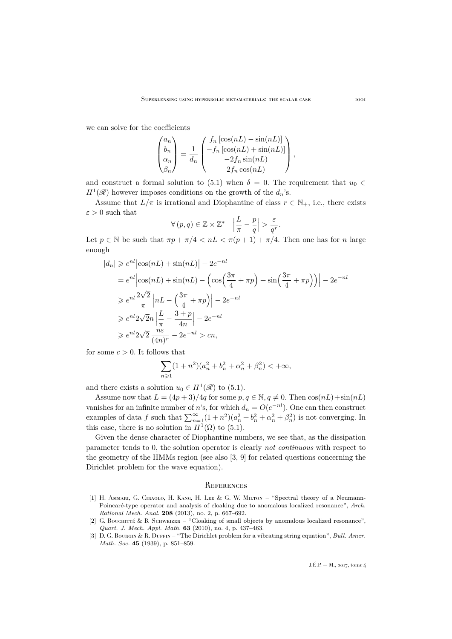we can solve for the coefficients

$$
\begin{pmatrix} a_n \\ b_n \\ \alpha_n \\ \beta_n \end{pmatrix} = \frac{1}{d_n} \begin{pmatrix} f_n \left[ \cos(nL) - \sin(nL) \right] \\ -f_n \left[ \cos(nL) + \sin(nL) \right] \\ -2f_n \sin(nL) \\ 2f_n \cos(nL) \end{pmatrix},
$$

and construct a formal solution to [\(5.1\)](#page-28-0) when  $\delta = 0$ . The requirement that  $u_0 \in$  $H^1(\mathscr{R})$  however imposes conditions on the growth of the  $d_n$ 's.

Assume that  $L/\pi$  is irrational and Diophantine of class  $r \in \mathbb{N}_+$ , i.e., there exists  $\varepsilon > 0$  such that

$$
\forall (p, q) \in \mathbb{Z} \times \mathbb{Z}^* \quad \left| \frac{L}{\pi} - \frac{p}{q} \right| > \frac{\varepsilon}{q^r}.
$$

Let  $p \in \mathbb{N}$  be such that  $\pi p + \pi/4 < nL < \pi(p+1) + \pi/4$ . Then one has for n large enough

$$
|d_n| \geqslant e^{nl} \left| \cos(nL) + \sin(nL) \right| - 2e^{-nl}
$$
  
\n
$$
= e^{nl} \left| \cos(nL) + \sin(nL) - \left( \cos\left(\frac{3\pi}{4} + \pi p\right) + \sin\left(\frac{3\pi}{4} + \pi p\right) \right) \right| - 2e^{-nl}
$$
  
\n
$$
\geqslant e^{nl} \frac{2\sqrt{2}}{\pi} \left| nL - \left( \frac{3\pi}{4} + \pi p \right) \right| - 2e^{-nl}
$$
  
\n
$$
\geqslant e^{nl} 2\sqrt{2} n \left| \frac{L}{\pi} - \frac{3+p}{4n} \right| - 2e^{-nl}
$$
  
\n
$$
\geqslant e^{nl} 2\sqrt{2} \frac{n\varepsilon}{(4n)^r} - 2e^{-nl} > cn,
$$

for some  $c > 0$ . It follows that

$$
\sum_{n\geqslant 1} (1+n^2)(a_n^2+b_n^2+\alpha_n^2+\beta_n^2)<+\infty,
$$

and there exists a solution  $u_0 \in H^1(\mathcal{R})$  to [\(5.1\)](#page-28-0).

Assume now that  $L = (4p+3)/4q$  for some  $p, q \in \mathbb{N}, q \neq 0$ . Then  $\cos(nL) + \sin(nL)$ vanishes for an infinite number of n's, for which  $d_n = O(e^{-nl})$ . One can then construct examples of data f such that  $\sum_{n=1}^{\infty} (1+n^2)(a_n^2+b_n^2+\alpha_n^2+\beta_n^2)$  is not converging. In this case, there is no solution in  $H^1(\Omega)$  to [\(5.1\)](#page-28-0).

Given the dense character of Diophantine numbers, we see that, as the dissipation parameter tends to 0, the solution operator is clearly *not continuous* with respect to the geometry of the HMMs region (see also [\[3,](#page-29-3) [9\]](#page-30-26) for related questions concerning the Dirichlet problem for the wave equation).

#### <span id="page-29-0"></span>**REFERENCES**

- <span id="page-29-1"></span>[1] H. AMMARI, G. CIRAOLO, H. KANG, H. LEE & G. W. MILTON – "Spectral theory of a Neumann-Poincaré-type operator and analysis of cloaking due to anomalous localized resonance", *Arch. Rational Mech. Anal.* **208** (2013), no. 2, p. 667–692.
- <span id="page-29-2"></span>[2] G. Bouchitté & B. Schweizer – "Cloaking of small objects by anomalous localized resonance", *Quart. J. Mech. Appl. Math.* **63** (2010), no. 4, p. 437–463.
- <span id="page-29-3"></span>[3] D. G. Bourgin & R. Duffin – "The Dirichlet problem for a vibrating string equation", *Bull. Amer. Math. Soc.* **45** (1939), p. 851–859.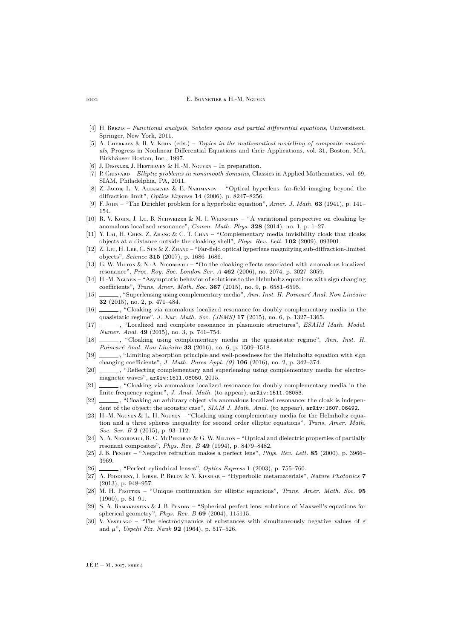- <span id="page-30-23"></span>[4] H. Brezis – *Functional analysis, Sobolev spaces and partial differential equations*, Universitext, Springer, New York, 2011.
- <span id="page-30-25"></span>[5] A. CHERKAEV & R. V. KOHN (eds.) – *Topics in the mathematical modelling of composite materials*, Progress in Nonlinear Differential Equations and their Applications, vol. 31, Boston, MA, Birkhäuser Boston, Inc., 1997.
- <span id="page-30-21"></span>[6] J. Droxler, J. Hesthaven & H.-M. Nguyen – In preparation.
- <span id="page-30-24"></span>[7] P. Grisvard – *Elliptic problems in nonsmooth domains*, Classics in Applied Mathematics, vol. 69, SIAM, Philadelphia, PA, 2011.
- <span id="page-30-17"></span>[8] Z. JACOB, L. V. ALEKSEYEV & E. NARIMANOV – "Optical hyperlens: far-field imaging beyond the diffraction limit", *Optics Express* **14** (2006), p. 8247–8256.
- <span id="page-30-26"></span>[9] F. John – "The Dirichlet problem for a hyperbolic equation", *Amer. J. Math.* **63** (1941), p. 141– 154.
- <span id="page-30-10"></span>[10] R. V. KOHN, J. Lu, B. SCHWEIZER & M. I. WEINSTEIN – "A variational perspective on cloaking by anomalous localized resonance", *Comm. Math. Phys.* **328** (2014), no. 1, p. 1–27.
- <span id="page-30-7"></span>[11] Y. Lai, H. Chen, Z. Zhang & C. T. Chan – "Complementary media invisibility cloak that cloaks objects at a distance outside the cloaking shell", *Phys. Rev. Lett.* **102** (2009), 093901.
- <span id="page-30-18"></span>[12] Z. Liu, H. Lee, C. Sun & Z. Zhang – "Far-field optical hyperlens magnifying sub-diffraction-limited objects", *Science* **315** (2007), p. 1686–1686.
- <span id="page-30-11"></span>[13] G. W. Muron  $\&$  N.-A. Nicorovici – "On the cloaking effects associated with anomalous localized resonance", *Proc. Roy. Soc. London Ser. A* **462** (2006), no. 2074, p. 3027–3059.
- <span id="page-30-19"></span>[14] H.-M. Nguyen – "Asymptotic behavior of solutions to the Helmholtz equations with sign changing coefficients", *Trans. Amer. Math. Soc.* **367** (2015), no. 9, p. 6581–6595.
- <span id="page-30-5"></span>[15] , "Superlensing using complementary media", *Ann. Inst. H. Poincaré Anal. Non Linéaire* **32** (2015), no. 2, p. 471–484.
- <span id="page-30-12"></span>[16] , "Cloaking via anomalous localized resonance for doubly complementary media in the quasistatic regime", *J. Eur. Math. Soc. (JEMS)* **17** (2015), no. 6, p. 1327–1365.
- <span id="page-30-14"></span>[17] , "Localized and complete resonance in plasmonic structures", *ESAIM Math. Model. Numer. Anal.* **49** (2015), no. 3, p. 741–754.
- <span id="page-30-8"></span>[18] , "Cloaking using complementary media in the quasistatic regime", *Ann. Inst. H. Poincaré Anal. Non Linéaire* **33** (2016), no. 6, p. 1509–1518.
- <span id="page-30-20"></span>[19]  $\_\_\_\_\$ , "Limiting absorption principle and well-posedness for the Helmholtz equation with sign changing coefficients", *J. Math. Pures Appl. (9)* **106** (2016), no. 2, p. 342–374.
- <span id="page-30-6"></span>[20]  $\qquad \qquad$ , "Reflecting complementary and superlensing using complementary media for electromagnetic waves", [arXiv:1511.08050](http://arxiv.org/abs/1511.08050), 2015.
- <span id="page-30-13"></span>[21]  $\qquad \qquad$ , "Cloaking via anomalous localized resonance for doubly complementary media in the finite frequency regime", *J. Anal. Math.* (to appear), [arXiv:1511.08053](http://arxiv.org/abs/1511.08053).
- <span id="page-30-15"></span>[22]  $\_\_\_\_\$ , "Cloaking an arbitrary object via anomalous localized resonance: the cloak is independent of the object: the acoustic case", *SIAM J. Math. Anal.* (to appear),  $arXiv:1607.06492$ .
- <span id="page-30-9"></span>[23] H.-M. Nguyen & L. H. Nguyen – "Cloaking using complementary media for the Helmholtz equation and a three spheres inequality for second order elliptic equations", *Trans. Amer. Math. Soc. Ser. B* **2** (2015), p. 93–112.
- <span id="page-30-1"></span>[24] N. A. Nicorovici, R. C. McPhedran & G. W. Milton – "Optical and dielectric properties of partially resonant composites", *Phys. Rev. B* **49** (1994), p. 8479–8482.
- <span id="page-30-2"></span>[25] J. B. Pendry – "Negative refraction makes a perfect lens", *Phys. Rev. Lett.* **85** (2000), p. 3966– 3969.
- <span id="page-30-3"></span>[26] , "Perfect cylindrical lenses", *Optics Express* **1** (2003), p. 755–760.
- <span id="page-30-16"></span>[27] A. Poddubny, I. Iorsh, P. Belov & Y. Kivshar – "Hyperbolic metamaterials", *Nature Photonics* **7** (2013), p. 948–957.
- <span id="page-30-22"></span>[28] M. H. Protter – "Unique continuation for elliptic equations", *Trans. Amer. Math. Soc.* 95 (1960), p. 81–91.
- <span id="page-30-4"></span>[29] S. A. Ramakrishna & J. B. Pendry – "Spherical perfect lens: solutions of Maxwell's equations for spherical geometry", *Phys. Rev. B* **69** (2004), 115115.
- <span id="page-30-0"></span>[30] V. VESELAGO – "The electrodynamics of substances with simultaneously negative values of  $\varepsilon$ and µ", *Uspehi Fiz. Nauk* **92** (1964), p. 517–526.

 $J.E.P. = M$ , 2017, tome 4